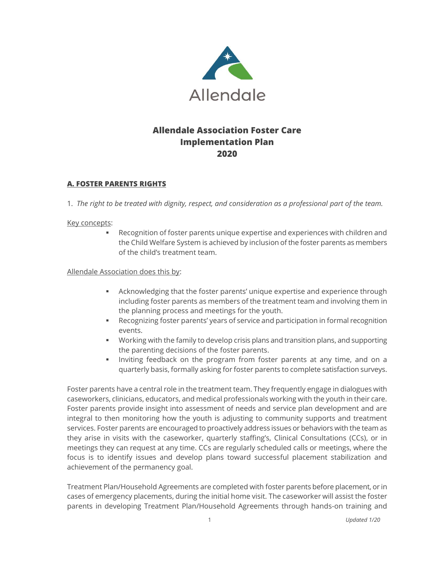

# **Allendale Association Foster Care Implementation Plan 2020**

# **A. FOSTER PARENTS RIGHTS**

1. *The right to be treated with dignity, respect, and consideration as a professional part of the team.*

#### Key concepts:

Recognition of foster parents unique expertise and experiences with children and the Child Welfare System is achieved by inclusion of the foster parents as members of the child's treatment team.

#### Allendale Association does this by:

- **EXED** Acknowledging that the foster parents' unique expertise and experience through including foster parents as members of the treatment team and involving them in the planning process and meetings for the youth.
- **EXECO EXECOGOLY FOR FORTH IN A SECOGOLY FOR FORTH PARTICIPY SECOGOLY FOR SECOGOLY FOR SECOGOLY FOR FORTH** events.
- Working with the family to develop crisis plans and transition plans, and supporting the parenting decisions of the foster parents.
- Inviting feedback on the program from foster parents at any time, and on a quarterly basis, formally asking for foster parents to complete satisfaction surveys.

Foster parents have a central role in the treatment team. They frequently engage in dialogues with caseworkers, clinicians, educators, and medical professionals working with the youth in their care. Foster parents provide insight into assessment of needs and service plan development and are integral to then monitoring how the youth is adjusting to community supports and treatment services. Foster parents are encouraged to proactively address issues or behaviors with the team as they arise in visits with the caseworker, quarterly staffing's, Clinical Consultations (CCs), or in meetings they can request at any time. CCs are regularly scheduled calls or meetings, where the focus is to identify issues and develop plans toward successful placement stabilization and achievement of the permanency goal.

Treatment Plan/Household Agreements are completed with foster parents before placement, or in cases of emergency placements, during the initial home visit. The caseworker will assist the foster parents in developing Treatment Plan/Household Agreements through hands-on training and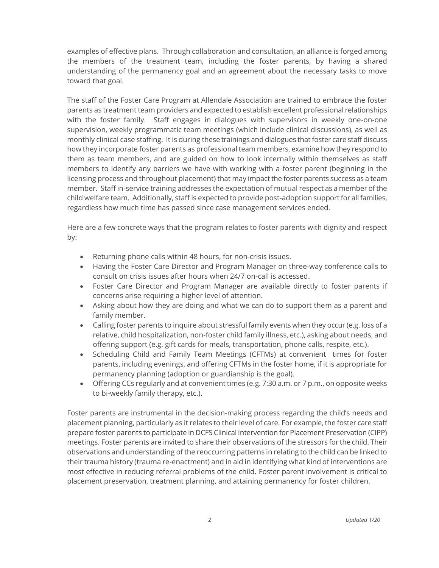examples of effective plans. Through collaboration and consultation, an alliance is forged among the members of the treatment team, including the foster parents, by having a shared understanding of the permanency goal and an agreement about the necessary tasks to move toward that goal.

The staff of the Foster Care Program at Allendale Association are trained to embrace the foster parents as treatment team providers and expected to establish excellent professional relationships with the foster family. Staff engages in dialogues with supervisors in weekly one-on-one supervision, weekly programmatic team meetings (which include clinical discussions), as well as monthly clinical case staffing. It is during these trainings and dialogues that foster care staff discuss how they incorporate foster parents as professional team members, examine how they respond to them as team members, and are guided on how to look internally within themselves as staff members to identify any barriers we have with working with a foster parent (beginning in the licensing process and throughout placement) that may impact the foster parents success as a team member. Staff in-service training addresses the expectation of mutual respect as a member of the child welfare team. Additionally, staff is expected to provide post-adoption support for all families, regardless how much time has passed since case management services ended.

Here are a few concrete ways that the program relates to foster parents with dignity and respect by:

- Returning phone calls within 48 hours, for non-crisis issues.
- Having the Foster Care Director and Program Manager on three-way conference calls to consult on crisis issues after hours when 24/7 on-call is accessed.
- Foster Care Director and Program Manager are available directly to foster parents if concerns arise requiring a higher level of attention.
- Asking about how they are doing and what we can do to support them as a parent and family member.
- Calling foster parents to inquire about stressful family events when they occur (e.g. loss of a relative, child hospitalization, non-foster child family illness, etc.), asking about needs, and offering support (e.g. gift cards for meals, transportation, phone calls, respite, etc.).
- Scheduling Child and Family Team Meetings (CFTMs) at convenient times for foster parents, including evenings, and offering CFTMs in the foster home, if it is appropriate for permanency planning (adoption or guardianship is the goal).
- Offering CCs regularly and at convenient times (e.g. 7:30 a.m. or 7 p.m., on opposite weeks to bi-weekly family therapy, etc.).

Foster parents are instrumental in the decision-making process regarding the child's needs and placement planning, particularly as it relates to their level of care. For example, the foster care staff prepare foster parents to participate in DCFS Clinical Intervention for Placement Preservation (CIPP) meetings. Foster parents are invited to share their observations of the stressors for the child. Their observations and understanding of the reoccurring patterns in relating to the child can be linked to their trauma history (trauma re-enactment) and in aid in identifying what kind of interventions are most effective in reducing referral problems of the child. Foster parent involvement is critical to placement preservation, treatment planning, and attaining permanency for foster children.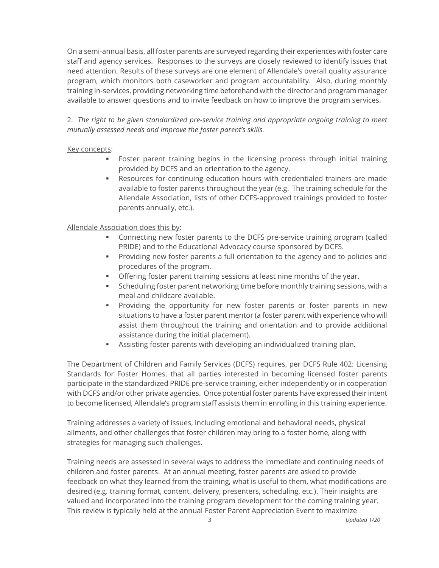On a semi-annual basis, all foster parents are surveyed regarding their experiences with foster care staff and agency services. Responses to the surveys are closely reviewed to identify issues that need attention. Results of these surveys are one element of Allendale's overall quality assurance program, which monitors both caseworker and program accountability. Also, during monthly training in-services, providing networking time beforehand with the director and program manager available to answer questions and to invite feedback on how to improve the program services.

2. *The right to be given standardized pre-service training and appropriate ongoing training to meet mutually assessed needs and improve the foster parent's skills.*

### Key concepts:

- Foster parent training begins in the licensing process through initial training provided by DCFS and an orientation to the agency.
- **•** Resources for continuing education hours with credentialed trainers are made available to foster parents throughout the year (e.g. The training schedule for the Allendale Association, lists of other DCFS-approved trainings provided to foster parents annually, etc.).

# Allendale Association does this by:

- **•** Connecting new foster parents to the DCFS pre-service training program (called PRIDE) and to the Educational Advocacy course sponsored by DCFS.
- Providing new foster parents a full orientation to the agency and to policies and procedures of the program.
- **•** Offering foster parent training sessions at least nine months of the year.
- **•** Scheduling foster parent networking time before monthly training sessions, with a meal and childcare available.
- Providing the opportunity for new foster parents or foster parents in new situations to have a foster parent mentor (a foster parent with experience who will assist them throughout the training and orientation and to provide additional assistance during the initial placement).
- Assisting foster parents with developing an individualized training plan.

The Department of Children and Family Services (DCFS) requires, per DCFS Rule 402: Licensing Standards for Foster Homes, that all parties interested in becoming licensed foster parents participate in the standardized PRIDE pre-service training, either independently or in cooperation with DCFS and/or other private agencies. Once potential foster parents have expressed their intent to become licensed, Allendale's program staff assists them in enrolling in this training experience.

Training addresses a variety of issues, including emotional and behavioral needs, physical ailments, and other challenges that foster children may bring to a foster home, along with strategies for managing such challenges.

Training needs are assessed in several ways to address the immediate and continuing needs of children and foster parents. At an annual meeting, foster parents are asked to provide feedback on what they learned from the training, what is useful to them, what modifications are desired (e.g. training format, content, delivery, presenters, scheduling, etc.). Their insights are valued and incorporated into the training program development for the coming training year. This review is typically held at the annual Foster Parent Appreciation Event to maximize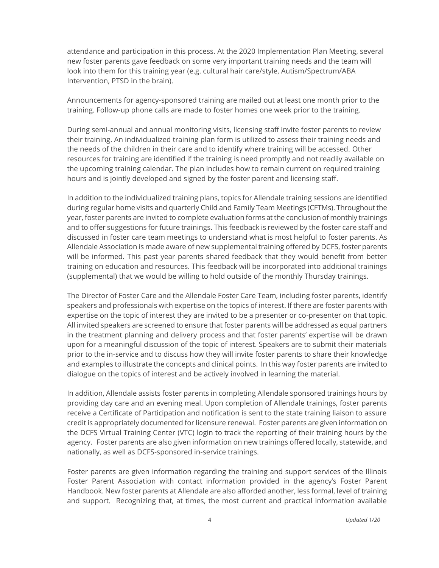attendance and participation in this process. At the 2020 Implementation Plan Meeting, several new foster parents gave feedback on some very important training needs and the team will look into them for this training year (e.g. cultural hair care/style, Autism/Spectrum/ABA Intervention, PTSD in the brain).

Announcements for agency-sponsored training are mailed out at least one month prior to the training. Follow-up phone calls are made to foster homes one week prior to the training.

During semi-annual and annual monitoring visits, licensing staff invite foster parents to review their training. An individualized training plan form is utilized to assess their training needs and the needs of the children in their care and to identify where training will be accessed. Other resources for training are identified if the training is need promptly and not readily available on the upcoming training calendar. The plan includes how to remain current on required training hours and is jointly developed and signed by the foster parent and licensing staff.

In addition to the individualized training plans, topics for Allendale training sessions are identified during regular home visits and quarterly Child and Family Team Meetings (CFTMs). Throughout the year, foster parents are invited to complete evaluation forms at the conclusion of monthly trainings and to offer suggestions for future trainings. This feedback is reviewed by the foster care staff and discussed in foster care team meetings to understand what is most helpful to foster parents. As Allendale Association is made aware of new supplemental training offered by DCFS, foster parents will be informed. This past year parents shared feedback that they would benefit from better training on education and resources. This feedback will be incorporated into additional trainings (supplemental) that we would be willing to hold outside of the monthly Thursday trainings.

The Director of Foster Care and the Allendale Foster Care Team, including foster parents, identify speakers and professionals with expertise on the topics of interest. If there are foster parents with expertise on the topic of interest they are invited to be a presenter or co-presenter on that topic. All invited speakers are screened to ensure that foster parents will be addressed as equal partners in the treatment planning and delivery process and that foster parents' expertise will be drawn upon for a meaningful discussion of the topic of interest. Speakers are to submit their materials prior to the in-service and to discuss how they will invite foster parents to share their knowledge and examples to illustrate the concepts and clinical points. In this way foster parents are invited to dialogue on the topics of interest and be actively involved in learning the material.

In addition, Allendale assists foster parents in completing Allendale sponsored trainings hours by providing day care and an evening meal. Upon completion of Allendale trainings, foster parents receive a Certificate of Participation and notification is sent to the state training liaison to assure credit is appropriately documented for licensure renewal. Foster parents are given information on the DCFS Virtual Training Center (VTC) login to track the reporting of their training hours by the agency. Foster parents are also given information on new trainings offered locally, statewide, and nationally, as well as DCFS-sponsored in-service trainings.

Foster parents are given information regarding the training and support services of the Illinois Foster Parent Association with contact information provided in the agency's Foster Parent Handbook. New foster parents at Allendale are also afforded another, less formal, level of training and support. Recognizing that, at times, the most current and practical information available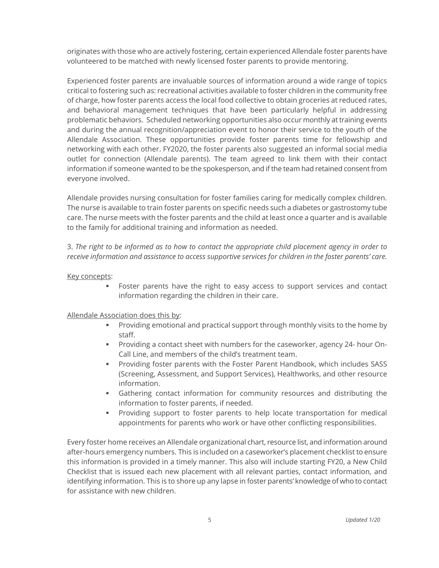originates with those who are actively fostering, certain experienced Allendale foster parents have volunteered to be matched with newly licensed foster parents to provide mentoring.

Experienced foster parents are invaluable sources of information around a wide range of topics critical to fostering such as: recreational activities available to foster children in the community free of charge, how foster parents access the local food collective to obtain groceries at reduced rates, and behavioral management techniques that have been particularly helpful in addressing problematic behaviors. Scheduled networking opportunities also occur monthly at training events and during the annual recognition/appreciation event to honor their service to the youth of the Allendale Association. These opportunities provide foster parents time for fellowship and networking with each other. FY2020, the foster parents also suggested an informal social media outlet for connection (Allendale parents). The team agreed to link them with their contact information if someone wanted to be the spokesperson, and if the team had retained consent from everyone involved.

Allendale provides nursing consultation for foster families caring for medically complex children. The nurse is available to train foster parents on specific needs such a diabetes or gastrostomy tube care. The nurse meets with the foster parents and the child at least once a quarter and is available to the family for additional training and information as needed.

3. *The right to be informed as to how to contact the appropriate child placement agency in order to receive information and assistance to access supportive services for children in the foster parents' care.*

#### Key concepts:

**•** Foster parents have the right to easy access to support services and contact information regarding the children in their care.

#### Allendale Association does this by:

- Providing emotional and practical support through monthly visits to the home by staff.
- Providing a contact sheet with numbers for the caseworker, agency 24- hour On-Call Line, and members of the child's treatment team.
- Providing foster parents with the Foster Parent Handbook, which includes SASS (Screening, Assessment, and Support Services), Healthworks, and other resource information.
- **•** Gathering contact information for community resources and distributing the information to foster parents, if needed.
- **•** Providing support to foster parents to help locate transportation for medical appointments for parents who work or have other conflicting responsibilities.

Every foster home receives an Allendale organizational chart, resource list, and information around after-hours emergency numbers. This is included on a caseworker's placement checklist to ensure this information is provided in a timely manner. This also will include starting FY20, a New Child Checklist that is issued each new placement with all relevant parties, contact information, and identifying information. This is to shore up any lapse in foster parents' knowledge of who to contact for assistance with new children.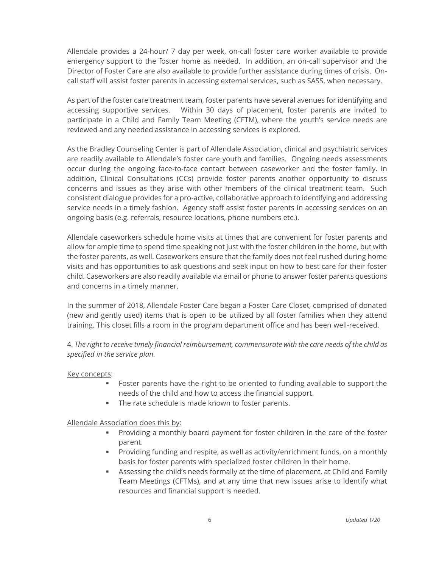Allendale provides a 24-hour/ 7 day per week, on-call foster care worker available to provide emergency support to the foster home as needed. In addition, an on-call supervisor and the Director of Foster Care are also available to provide further assistance during times of crisis. Oncall staff will assist foster parents in accessing external services, such as SASS, when necessary.

As part of the foster care treatment team, foster parents have several avenues for identifying and accessing supportive services. Within 30 days of placement, foster parents are invited to participate in a Child and Family Team Meeting (CFTM), where the youth's service needs are reviewed and any needed assistance in accessing services is explored.

As the Bradley Counseling Center is part of Allendale Association, clinical and psychiatric services are readily available to Allendale's foster care youth and families. Ongoing needs assessments occur during the ongoing face-to-face contact between caseworker and the foster family. In addition, Clinical Consultations (CCs) provide foster parents another opportunity to discuss concerns and issues as they arise with other members of the clinical treatment team. Such consistent dialogue provides for a pro-active, collaborative approach to identifying and addressing service needs in a timely fashion. Agency staff assist foster parents in accessing services on an ongoing basis (e.g. referrals, resource locations, phone numbers etc.).

Allendale caseworkers schedule home visits at times that are convenient for foster parents and allow for ample time to spend time speaking not just with the foster children in the home, but with the foster parents, as well. Caseworkers ensure that the family does not feel rushed during home visits and has opportunities to ask questions and seek input on how to best care for their foster child. Caseworkers are also readily available via email or phone to answer foster parents questions and concerns in a timely manner.

In the summer of 2018, Allendale Foster Care began a Foster Care Closet, comprised of donated (new and gently used) items that is open to be utilized by all foster families when they attend training. This closet fills a room in the program department office and has been well-received.

4. *The right to receive timely financial reimbursement, commensurate with the care needs of the child as specified in the service plan.*

#### Key concepts:

- **•** Foster parents have the right to be oriented to funding available to support the needs of the child and how to access the financial support.
- The rate schedule is made known to foster parents.

Allendale Association does this by:

- Providing a monthly board payment for foster children in the care of the foster parent.
- Providing funding and respite, as well as activity/enrichment funds, on a monthly basis for foster parents with specialized foster children in their home.
- **EXE** Assessing the child's needs formally at the time of placement, at Child and Family Team Meetings (CFTMs), and at any time that new issues arise to identify what resources and financial support is needed.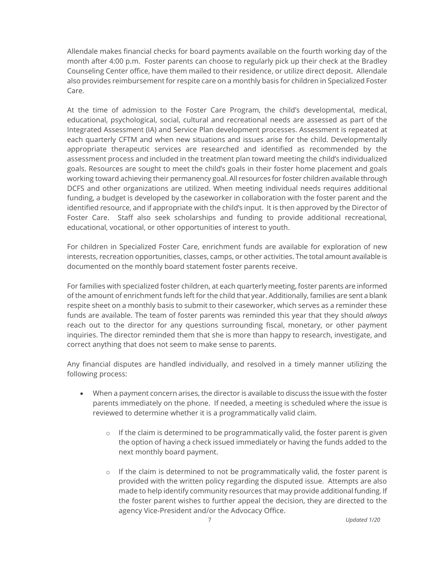Allendale makes financial checks for board payments available on the fourth working day of the month after 4:00 p.m. Foster parents can choose to regularly pick up their check at the Bradley Counseling Center office, have them mailed to their residence, or utilize direct deposit. Allendale also provides reimbursement for respite care on a monthly basis for children in Specialized Foster Care.

At the time of admission to the Foster Care Program, the child's developmental, medical, educational, psychological, social, cultural and recreational needs are assessed as part of the Integrated Assessment (IA) and Service Plan development processes. Assessment is repeated at each quarterly CFTM and when new situations and issues arise for the child. Developmentally appropriate therapeutic services are researched and identified as recommended by the assessment process and included in the treatment plan toward meeting the child's individualized goals. Resources are sought to meet the child's goals in their foster home placement and goals working toward achieving their permanency goal. All resources for foster children available through DCFS and other organizations are utilized. When meeting individual needs requires additional funding, a budget is developed by the caseworker in collaboration with the foster parent and the identified resource, and if appropriate with the child's input. It is then approved by the Director of Foster Care. Staff also seek scholarships and funding to provide additional recreational, educational, vocational, or other opportunities of interest to youth.

For children in Specialized Foster Care, enrichment funds are available for exploration of new interests, recreation opportunities, classes, camps, or other activities. The total amount available is documented on the monthly board statement foster parents receive.

For families with specialized foster children, at each quarterly meeting, foster parents are informed of the amount of enrichment funds left for the child that year. Additionally, families are sent a blank respite sheet on a monthly basis to submit to their caseworker, which serves as a reminder these funds are available. The team of foster parents was reminded this year that they should *always* reach out to the director for any questions surrounding fiscal, monetary, or other payment inquiries. The director reminded them that she is more than happy to research, investigate, and correct anything that does not seem to make sense to parents.

Any financial disputes are handled individually, and resolved in a timely manner utilizing the following process:

- When a payment concern arises, the director is available to discuss the issue with the foster parents immediately on the phone. If needed, a meeting is scheduled where the issue is reviewed to determine whether it is a programmatically valid claim.
	- $\circ$  If the claim is determined to be programmatically valid, the foster parent is given the option of having a check issued immediately or having the funds added to the next monthly board payment.
	- $\circ$  If the claim is determined to not be programmatically valid, the foster parent is provided with the written policy regarding the disputed issue. Attempts are also made to help identify community resources that may provide additional funding. If the foster parent wishes to further appeal the decision, they are directed to the agency Vice-President and/or the Advocacy Office.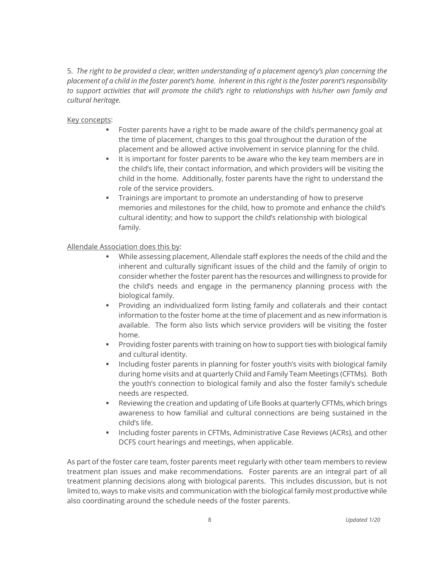5. *The right to be provided a clear, written understanding of a placement agency's plan concerning the placement of a child in the foster parent's home. Inherent in this right is the foster parent's responsibility to support activities that will promote the child's right to relationships with his/her own family and cultural heritage.*

### Key concepts:

- Foster parents have a right to be made aware of the child's permanency goal at the time of placement, changes to this goal throughout the duration of the placement and be allowed active involvement in service planning for the child.
- It is important for foster parents to be aware who the key team members are in the child's life, their contact information, and which providers will be visiting the child in the home. Additionally, foster parents have the right to understand the role of the service providers.
- Trainings are important to promote an understanding of how to preserve memories and milestones for the child, how to promote and enhance the child's cultural identity; and how to support the child's relationship with biological family.

### Allendale Association does this by:

- While assessing placement, Allendale staff explores the needs of the child and the inherent and culturally significant issues of the child and the family of origin to consider whether the foster parent has the resources and willingness to provide for the child's needs and engage in the permanency planning process with the biological family.
- Providing an individualized form listing family and collaterals and their contact information to the foster home at the time of placement and as new information is available. The form also lists which service providers will be visiting the foster home.
- **•** Providing foster parents with training on how to support ties with biological family and cultural identity.
- **•** Including foster parents in planning for foster youth's visits with biological family during home visits and at quarterly Child and Family Team Meetings (CFTMs). Both the youth's connection to biological family and also the foster family's schedule needs are respected.
- Reviewing the creation and updating of Life Books at quarterly CFTMs, which brings awareness to how familial and cultural connections are being sustained in the child's life.
- **EXECT** Including foster parents in CFTMs, Administrative Case Reviews (ACRs), and other DCFS court hearings and meetings, when applicable.

As part of the foster care team, foster parents meet regularly with other team members to review treatment plan issues and make recommendations. Foster parents are an integral part of all treatment planning decisions along with biological parents. This includes discussion, but is not limited to, ways to make visits and communication with the biological family most productive while also coordinating around the schedule needs of the foster parents.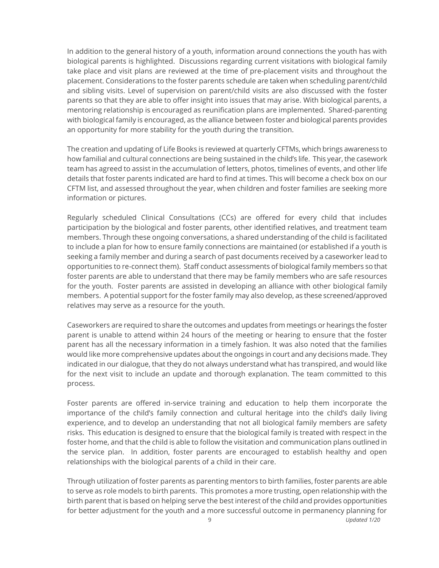In addition to the general history of a youth, information around connections the youth has with biological parents is highlighted. Discussions regarding current visitations with biological family take place and visit plans are reviewed at the time of pre-placement visits and throughout the placement. Considerations to the foster parents schedule are taken when scheduling parent/child and sibling visits. Level of supervision on parent/child visits are also discussed with the foster parents so that they are able to offer insight into issues that may arise. With biological parents, a mentoring relationship is encouraged as reunification plans are implemented. Shared-parenting with biological family is encouraged, as the alliance between foster and biological parents provides an opportunity for more stability for the youth during the transition.

The creation and updating of Life Books is reviewed at quarterly CFTMs, which brings awareness to how familial and cultural connections are being sustained in the child's life. This year, the casework team has agreed to assist in the accumulation of letters, photos, timelines of events, and other life details that foster parents indicated are hard to find at times. This will become a check box on our CFTM list, and assessed throughout the year, when children and foster families are seeking more information or pictures.

Regularly scheduled Clinical Consultations (CCs) are offered for every child that includes participation by the biological and foster parents, other identified relatives, and treatment team members. Through these ongoing conversations, a shared understanding of the child is facilitated to include a plan for how to ensure family connections are maintained (or established if a youth is seeking a family member and during a search of past documents received by a caseworker lead to opportunities to re-connect them). Staff conduct assessments of biological family members so that foster parents are able to understand that there may be family members who are safe resources for the youth. Foster parents are assisted in developing an alliance with other biological family members. A potential support for the foster family may also develop, as these screened/approved relatives may serve as a resource for the youth.

Caseworkers are required to share the outcomes and updates from meetings or hearings the foster parent is unable to attend within 24 hours of the meeting or hearing to ensure that the foster parent has all the necessary information in a timely fashion. It was also noted that the families would like more comprehensive updates about the ongoings in court and any decisions made. They indicated in our dialogue, that they do not always understand what has transpired, and would like for the next visit to include an update and thorough explanation. The team committed to this process.

Foster parents are offered in-service training and education to help them incorporate the importance of the child's family connection and cultural heritage into the child's daily living experience, and to develop an understanding that not all biological family members are safety risks. This education is designed to ensure that the biological family is treated with respect in the foster home, and that the child is able to follow the visitation and communication plans outlined in the service plan. In addition, foster parents are encouraged to establish healthy and open relationships with the biological parents of a child in their care.

Through utilization of foster parents as parenting mentors to birth families, foster parents are able to serve as role models to birth parents. This promotes a more trusting, open relationship with the birth parent that is based on helping serve the best interest of the child and provides opportunities for better adjustment for the youth and a more successful outcome in permanency planning for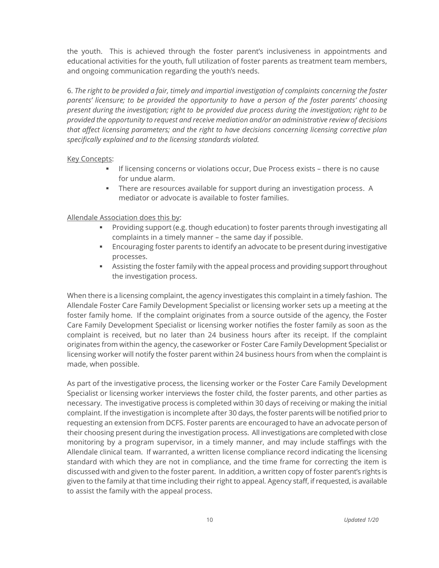the youth. This is achieved through the foster parent's inclusiveness in appointments and educational activities for the youth, full utilization of foster parents as treatment team members, and ongoing communication regarding the youth's needs.

6. *The right to be provided a fair, timely and impartial investigation of complaints concerning the foster parents' licensure; to be provided the opportunity to have a person of the foster parents' choosing present during the investigation; right to be provided due process during the investigation; right to be provided the opportunity to request and receive mediation and/or an administrative review of decisions that affect licensing parameters; and the right to have decisions concerning licensing corrective plan specifically explained and to the licensing standards violated.*

#### Key Concepts:

- **.** If licensing concerns or violations occur, Due Process exists there is no cause for undue alarm.
- **EXECT** There are resources available for support during an investigation process. A mediator or advocate is available to foster families.

# Allendale Association does this by:

- **•** Providing support (e.g. though education) to foster parents through investigating all complaints in a timely manner – the same day if possible.
- **Encouraging foster parents to identify an advocate to be present during investigative** processes.
- **EXEL Assisting the foster family with the appeal process and providing support throughout** the investigation process.

When there is a licensing complaint, the agency investigates this complaint in a timely fashion. The Allendale Foster Care Family Development Specialist or licensing worker sets up a meeting at the foster family home. If the complaint originates from a source outside of the agency, the Foster Care Family Development Specialist or licensing worker notifies the foster family as soon as the complaint is received, but no later than 24 business hours after its receipt. If the complaint originates from within the agency, the caseworker or Foster Care Family Development Specialist or licensing worker will notify the foster parent within 24 business hours from when the complaint is made, when possible.

As part of the investigative process, the licensing worker or the Foster Care Family Development Specialist or licensing worker interviews the foster child, the foster parents, and other parties as necessary. The investigative process is completed within 30 days of receiving or making the initial complaint. If the investigation is incomplete after 30 days, the foster parents will be notified prior to requesting an extension from DCFS. Foster parents are encouraged to have an advocate person of their choosing present during the investigation process. All investigations are completed with close monitoring by a program supervisor, in a timely manner, and may include staffings with the Allendale clinical team. If warranted, a written license compliance record indicating the licensing standard with which they are not in compliance, and the time frame for correcting the item is discussed with and given to the foster parent. In addition, a written copy of foster parent's rights is given to the family at that time including their right to appeal*.* Agency staff, if requested, is available to assist the family with the appeal process.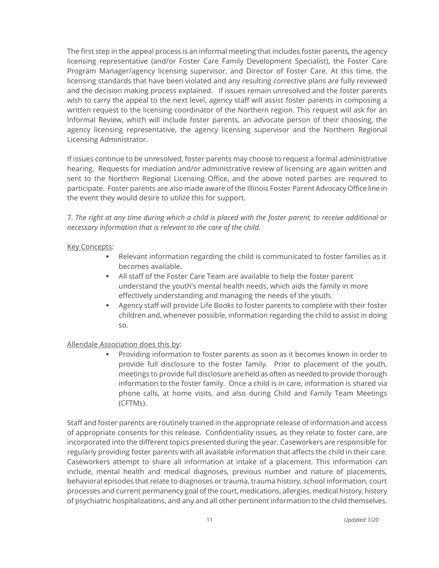The first step in the appeal process is an informal meeting that includes foster parents, the agency licensing representative (and/or Foster Care Family Development Specialist), the Foster Care Program Manager/agency licensing supervisor, and Director of Foster Care. At this time, the licensing standards that have been violated and any resulting corrective plans are fully reviewed and the decision making process explained. If issues remain unresolved and the foster parents wish to carry the appeal to the next level, agency staff will assist foster parents in composing a written request to the licensing coordinator of the Northern region. This request will ask for an Informal Review, which will include foster parents, an advocate person of their choosing, the agency licensing representative, the agency licensing supervisor and the Northern Regional Licensing Administrator.

If issues continue to be unresolved, foster parents may choose to request a formal administrative hearing. Requests for mediation and/or administrative review of licensing are again written and sent to the Northern Regional Licensing Office, and the above noted parties are required to participate. Foster parents are also made aware of the Illinois Foster Parent Advocacy Office line in the event they would desire to utilize this for support.

7. *The right at any time during which a child is placed with the foster parent, to receive additional or necessary information that is relevant to the care of the child.*

#### Key Concepts:

- Relevant information regarding the child is communicated to foster families as it becomes available.
- All staff of the Foster Care Team are available to help the foster parent understand the youth's mental health needs, which aids the family in more effectively understanding and managing the needs of the youth.
- **EXEC** Agency staff will provide Life Books to foster parents to complete with their foster children and, whenever possible, information regarding the child to assist in doing so.

#### Allendale Association does this by:

Providing information to foster parents as soon as it becomes known in order to provide full disclosure to the foster family. Prior to placement of the youth, meetings to provide full disclosure are held as often as needed to provide thorough information to the foster family. Once a child is in care, information is shared via phone calls, at home visits, and also during Child and Family Team Meetings (CFTMs).

Staff and foster parents are routinely trained in the appropriate release of information and access of appropriate consents for this release. Confidentiality issues, as they relate to foster care, are incorporated into the different topics presented during the year. Caseworkers are responsible for regularly providing foster parents with all available information that affects the child in their care. Caseworkers attempt to share all information at intake of a placement. This information can include, mental health and medical diagnoses, previous number and nature of placements, behavioral episodes that relate to diagnoses or trauma, trauma history, school information, court processes and current permanency goal of the court, medications, allergies, medical history, history of psychiatric hospitalizations, and any and all other pertinent information to the child themselves.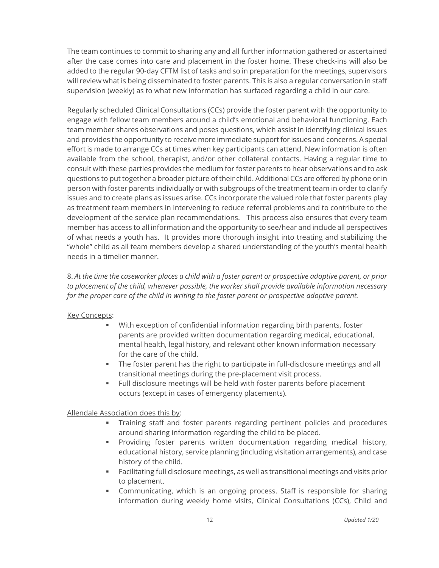The team continues to commit to sharing any and all further information gathered or ascertained after the case comes into care and placement in the foster home. These check-ins will also be added to the regular 90-day CFTM list of tasks and so in preparation for the meetings, supervisors will review what is being disseminated to foster parents. This is also a regular conversation in staff supervision (weekly) as to what new information has surfaced regarding a child in our care.

Regularly scheduled Clinical Consultations (CCs) provide the foster parent with the opportunity to engage with fellow team members around a child's emotional and behavioral functioning. Each team member shares observations and poses questions, which assist in identifying clinical issues and provides the opportunity to receive more immediate support for issues and concerns. A special effort is made to arrange CCs at times when key participants can attend. New information is often available from the school, therapist, and/or other collateral contacts. Having a regular time to consult with these parties provides the medium for foster parents to hear observations and to ask questions to put together a broader picture of their child. Additional CCs are offered by phone or in person with foster parents individually or with subgroups of the treatment team in order to clarify issues and to create plans as issues arise. CCs incorporate the valued role that foster parents play as treatment team members in intervening to reduce referral problems and to contribute to the development of the service plan recommendations. This process also ensures that every team member has access to all information and the opportunity to see/hear and include all perspectives of what needs a youth has. It provides more thorough insight into treating and stabilizing the "whole" child as all team members develop a shared understanding of the youth's mental health needs in a timelier manner.

8. *At the time the caseworker places a child with a foster parent or prospective adoptive parent, or prior to placement of the child, whenever possible, the worker shall provide available information necessary for the proper care of the child in writing to the foster parent or prospective adoptive parent.*

#### **Key Concepts:**

- With exception of confidential information regarding birth parents, foster parents are provided written documentation regarding medical, educational, mental health, legal history, and relevant other known information necessary for the care of the child.
- **•** The foster parent has the right to participate in full-disclosure meetings and all transitional meetings during the pre-placement visit process.
- Full disclosure meetings will be held with foster parents before placement occurs (except in cases of emergency placements).

# Allendale Association does this by:

- Training staff and foster parents regarding pertinent policies and procedures around sharing information regarding the child to be placed.
- Providing foster parents written documentation regarding medical history, educational history, service planning (including visitation arrangements), and case history of the child.
- **EXECT FACILITY FOULD HEAT FIGURE 1** Facilitating full disclosure meetings and visits prior to placement.
- **•** Communicating, which is an ongoing process. Staff is responsible for sharing information during weekly home visits, Clinical Consultations (CCs), Child and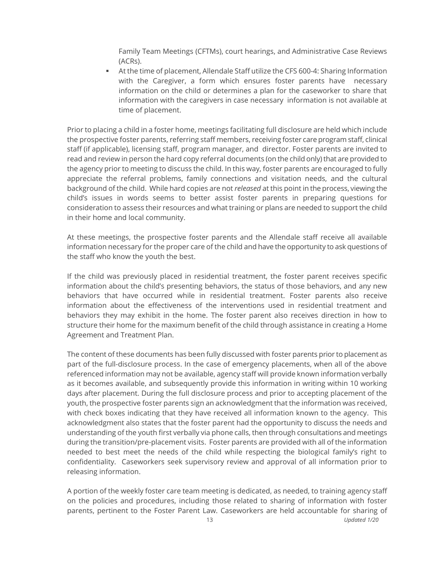Family Team Meetings (CFTMs), court hearings, and Administrative Case Reviews (ACRs).

■ At the time of placement, Allendale Staff utilize the CFS 600-4: Sharing Information with the Caregiver, a form which ensures foster parents have necessary information on the child or determines a plan for the caseworker to share that information with the caregivers in case necessary information is not available at time of placement.

Prior to placing a child in a foster home, meetings facilitating full disclosure are held which include the prospective foster parents, referring staff members, receiving foster care program staff, clinical staff (if applicable), licensing staff, program manager, and director. Foster parents are invited to read and review in person the hard copy referral documents (on the child only) that are provided to the agency prior to meeting to discuss the child. In this way, foster parents are encouraged to fully appreciate the referral problems, family connections and visitation needs, and the cultural background of the child. While hard copies are not *released* at this point in the process, viewing the child's issues in words seems to better assist foster parents in preparing questions for consideration to assess their resources and what training or plans are needed to support the child in their home and local community.

At these meetings, the prospective foster parents and the Allendale staff receive all available information necessary for the proper care of the child and have the opportunity to ask questions of the staff who know the youth the best.

If the child was previously placed in residential treatment, the foster parent receives specific information about the child's presenting behaviors, the status of those behaviors, and any new behaviors that have occurred while in residential treatment. Foster parents also receive information about the effectiveness of the interventions used in residential treatment and behaviors they may exhibit in the home. The foster parent also receives direction in how to structure their home for the maximum benefit of the child through assistance in creating a Home Agreement and Treatment Plan.

The content of these documents has been fully discussed with foster parents prior to placement as part of the full-disclosure process. In the case of emergency placements, when all of the above referenced information may not be available, agency staff will provide known information verbally as it becomes available, and subsequently provide this information in writing within 10 working days after placement. During the full disclosure process and prior to accepting placement of the youth, the prospective foster parents sign an acknowledgment that the information was received, with check boxes indicating that they have received all information known to the agency. This acknowledgment also states that the foster parent had the opportunity to discuss the needs and understanding of the youth first verbally via phone calls, then through consultations and meetings during the transition/pre-placement visits. Foster parents are provided with all of the information needed to best meet the needs of the child while respecting the biological family's right to confidentiality. Caseworkers seek supervisory review and approval of all information prior to releasing information.

A portion of the weekly foster care team meeting is dedicated, as needed, to training agency staff on the policies and procedures, including those related to sharing of information with foster parents, pertinent to the Foster Parent Law. Caseworkers are held accountable for sharing of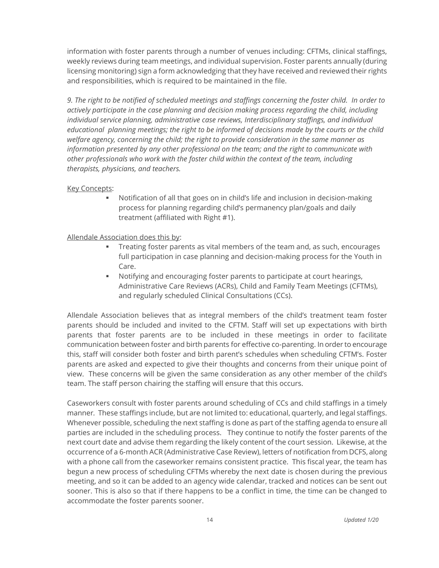information with foster parents through a number of venues including: CFTMs, clinical staffings, weekly reviews during team meetings, and individual supervision. Foster parents annually (during licensing monitoring) sign a form acknowledging that they have received and reviewed their rights and responsibilities, which is required to be maintained in the file.

*9. The right to be notified of scheduled meetings and staffings concerning the foster child. In order to actively participate in the case planning and decision making process regarding the child, including individual service planning, administrative case reviews, Interdisciplinary staffings, and individual educational planning meetings; the right to be informed of decisions made by the courts or the child welfare agency, concerning the child; the right to provide consideration in the same manner as information presented by any other professional on the team; and the right to communicate with other professionals who work with the foster child within the context of the team, including therapists, physicians, and teachers.*

#### **Key Concepts:**

▪ Notification of all that goes on in child's life and inclusion in decision-making process for planning regarding child's permanency plan/goals and daily treatment (affiliated with Right #1).

Allendale Association does this by:

- Treating foster parents as vital members of the team and, as such, encourages full participation in case planning and decision-making process for the Youth in Care.
- Notifying and encouraging foster parents to participate at court hearings, Administrative Care Reviews (ACRs), Child and Family Team Meetings (CFTMs), and regularly scheduled Clinical Consultations (CCs).

Allendale Association believes that as integral members of the child's treatment team foster parents should be included and invited to the CFTM. Staff will set up expectations with birth parents that foster parents are to be included in these meetings in order to facilitate communication between foster and birth parents for effective co-parenting. In order to encourage this, staff will consider both foster and birth parent's schedules when scheduling CFTM's. Foster parents are asked and expected to give their thoughts and concerns from their unique point of view. These concerns will be given the same consideration as any other member of the child's team. The staff person chairing the staffing will ensure that this occurs.

Caseworkers consult with foster parents around scheduling of CCs and child staffings in a timely manner*.* These staffings include, but are not limited to: educational, quarterly, and legal staffings. Whenever possible, scheduling the next staffing is done as part of the staffing agenda to ensure all parties are included in the scheduling process. They continue to notify the foster parents of the next court date and advise them regarding the likely content of the court session. Likewise, at the occurrence of a 6-month ACR (Administrative Case Review), letters of notification from DCFS, along with a phone call from the caseworker remains consistent practice. This fiscal year, the team has begun a new process of scheduling CFTMs whereby the next date is chosen during the previous meeting, and so it can be added to an agency wide calendar, tracked and notices can be sent out sooner. This is also so that if there happens to be a conflict in time, the time can be changed to accommodate the foster parents sooner.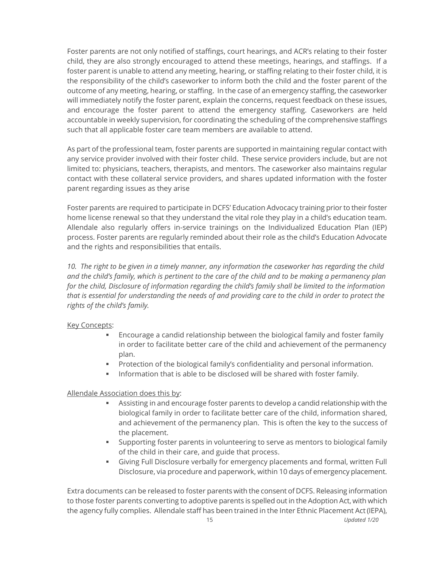Foster parents are not only notified of staffings, court hearings, and ACR's relating to their foster child, they are also strongly encouraged to attend these meetings, hearings, and staffings. If a foster parent is unable to attend any meeting, hearing, or staffing relating to their foster child, it is the responsibility of the child's caseworker to inform both the child and the foster parent of the outcome of any meeting, hearing, or staffing. In the case of an emergency staffing, the caseworker will immediately notify the foster parent, explain the concerns, request feedback on these issues, and encourage the foster parent to attend the emergency staffing. Caseworkers are held accountable in weekly supervision, for coordinating the scheduling of the comprehensive staffings such that all applicable foster care team members are available to attend.

As part of the professional team, foster parents are supported in maintaining regular contact with any service provider involved with their foster child. These service providers include, but are not limited to: physicians, teachers, therapists, and mentors. The caseworker also maintains regular contact with these collateral service providers, and shares updated information with the foster parent regarding issues as they arise

Foster parents are required to participate in DCFS' Education Advocacy training prior to their foster home license renewal so that they understand the vital role they play in a child's education team. Allendale also regularly offers in-service trainings on the Individualized Education Plan (IEP) process. Foster parents are regularly reminded about their role as the child's Education Advocate and the rights and responsibilities that entails.

*10. The right to be given in a timely manner, any information the caseworker has regarding the child and the child's family, which is pertinent to the care of the child and to be making a permanency plan for the child, Disclosure of information regarding the child's family shall be limited to the information that is essential for understanding the needs of and providing care to the child in order to protect the rights of the child's family.* 

#### Key Concepts:

- Encourage a candid relationship between the biological family and foster family in order to facilitate better care of the child and achievement of the permanency plan.
- Protection of the biological family's confidentiality and personal information.
- **•** Information that is able to be disclosed will be shared with foster family.

# Allendale Association does this by:

- **EXECT** Assisting in and encourage foster parents to develop a candid relationship with the biological family in order to facilitate better care of the child, information shared, and achievement of the permanency plan. This is often the key to the success of the placement.
- Supporting foster parents in volunteering to serve as mentors to biological family of the child in their care, and guide that process.
- Giving Full Disclosure verbally for emergency placements and formal, written Full Disclosure, via procedure and paperwork, within 10 days of emergency placement.

Extra documents can be released to foster parents with the consent of DCFS. Releasing information to those foster parents converting to adoptive parents is spelled out in the Adoption Act, with which the agency fully complies. Allendale staff has been trained in the Inter Ethnic Placement Act (IEPA),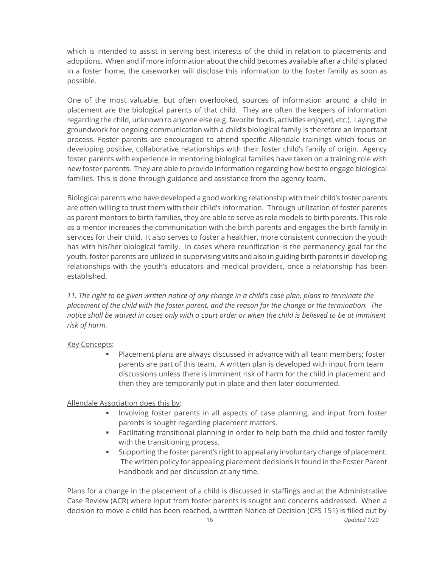which is intended to assist in serving best interests of the child in relation to placements and adoptions. When and if more information about the child becomes available after a child is placed in a foster home, the caseworker will disclose this information to the foster family as soon as possible.

One of the most valuable, but often overlooked, sources of information around a child in placement are the biological parents of that child. They are often the keepers of information regarding the child, unknown to anyone else (e.g. favorite foods, activities enjoyed, etc.). Laying the groundwork for ongoing communication with a child's biological family is therefore an important process. Foster parents are encouraged to attend specific Allendale trainings which focus on developing positive, collaborative relationships with their foster child's family of origin. Agency foster parents with experience in mentoring biological families have taken on a training role with new foster parents. They are able to provide information regarding how best to engage biological families. This is done through guidance and assistance from the agency team.

Biological parents who have developed a good working relationship with their child's foster parents are often willing to trust them with their child's information. Through utilization of foster parents as parent mentors to birth families, they are able to serve as role models to birth parents. This role as a mentor increases the communication with the birth parents and engages the birth family in services for their child. It also serves to foster a healthier, more consistent connection the youth has with his/her biological family. In cases where reunification is the permanency goal for the youth, foster parents are utilized in supervising visits and also in guiding birth parents in developing relationships with the youth's educators and medical providers, once a relationship has been established.

11. The right to be given written notice of any change in a child's case plan, plans to terminate the *placement of the child with the foster parent, and the reason for the change or the termination. The notice shall be waived in cases only with a court order or when the child is believed to be at imminent risk of harm.*

#### Key Concepts:

Placement plans are always discussed in advance with all team members; foster parents are part of this team. A written plan is developed with input from team discussions unless there is imminent risk of harm for the child in placement and then they are temporarily put in place and then later documented.

# Allendale Association does this by:

- Involving foster parents in all aspects of case planning, and input from foster parents is sought regarding placement matters.
- **•** Facilitating transitional planning in order to help both the child and foster family with the transitioning process.
- Supporting the foster parent's right to appeal any involuntary change of placement. The written policy for appealing placement decisions is found in the Foster Parent Handbook and per discussion at any time.

Plans for a change in the placement of a child is discussed in staffings and at the Administrative Case Review (ACR) where input from foster parents is sought and concerns addressed. When a decision to move a child has been reached, a written Notice of Decision (CFS 151) is filled out by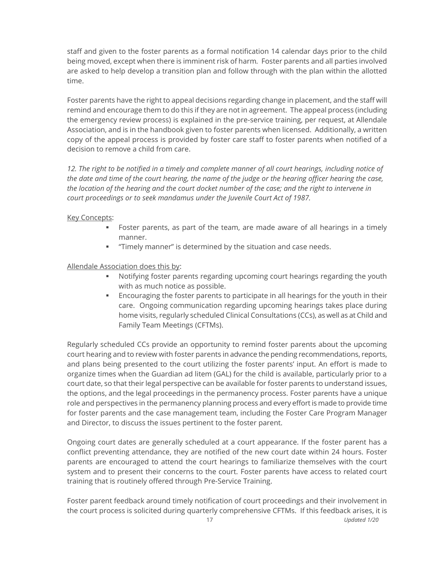staff and given to the foster parents as a formal notification 14 calendar days prior to the child being moved, except when there is imminent risk of harm*.* Foster parents and all parties involved are asked to help develop a transition plan and follow through with the plan within the allotted time.

Foster parents have the right to appeal decisions regarding change in placement, and the staff will remind and encourage them to do this if they are not in agreement. The appeal process (including the emergency review process) is explained in the pre-service training, per request, at Allendale Association, and is in the handbook given to foster parents when licensed. Additionally, a written copy of the appeal process is provided by foster care staff to foster parents when notified of a decision to remove a child from care.

*12. The right to be notified in a timely and complete manner of all court hearings, including notice of the date and time of the court hearing, the name of the judge or the hearing officer hearing the case, the location of the hearing and the court docket number of the case; and the right to intervene in court proceedings or to seek mandamus under the Juvenile Court Act of 1987.*

#### Key Concepts:

- Foster parents, as part of the team, are made aware of all hearings in a timely manner.
- "Timely manner" is determined by the situation and case needs.

### Allendale Association does this by:

- Notifying foster parents regarding upcoming court hearings regarding the youth with as much notice as possible.
- **Encouraging the foster parents to participate in all hearings for the youth in their** care. Ongoing communication regarding upcoming hearings takes place during home visits, regularly scheduled Clinical Consultations (CCs), as well as at Child and Family Team Meetings (CFTMs).

Regularly scheduled CCs provide an opportunity to remind foster parents about the upcoming court hearing and to review with foster parents in advance the pending recommendations, reports, and plans being presented to the court utilizing the foster parents' input. An effort is made to organize times when the Guardian ad litem (GAL) for the child is available, particularly prior to a court date, so that their legal perspective can be available for foster parents to understand issues, the options, and the legal proceedings in the permanency process. Foster parents have a unique role and perspectives in the permanency planning process and every effort is made to provide time for foster parents and the case management team, including the Foster Care Program Manager and Director, to discuss the issues pertinent to the foster parent.

Ongoing court dates are generally scheduled at a court appearance. If the foster parent has a conflict preventing attendance, they are notified of the new court date within 24 hours. Foster parents are encouraged to attend the court hearings to familiarize themselves with the court system and to present their concerns to the court. Foster parents have access to related court training that is routinely offered through Pre-Service Training.

Foster parent feedback around timely notification of court proceedings and their involvement in the court process is solicited during quarterly comprehensive CFTMs. If this feedback arises, it is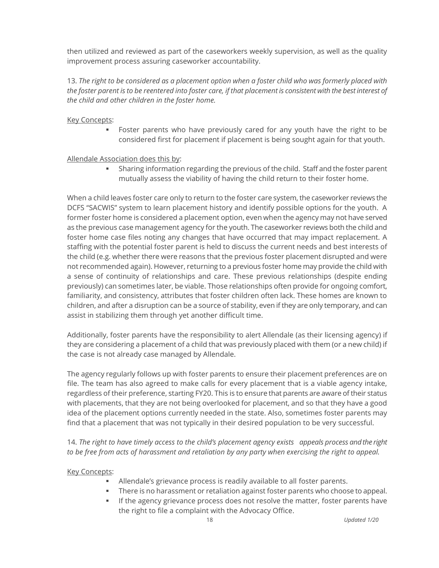then utilized and reviewed as part of the caseworkers weekly supervision, as well as the quality improvement process assuring caseworker accountability.

13. *The right to be considered as a placement option when a foster child who was formerly placed with the foster parent is to be reentered into foster care, if that placement is consistent with the best interest of the child and other children in the foster home.*

### Key Concepts:

**•** Foster parents who have previously cared for any youth have the right to be considered first for placement if placement is being sought again for that youth.

### Allendale Association does this by:

**•** Sharing information regarding the previous of the child. Staff and the foster parent mutually assess the viability of having the child return to their foster home.

When a child leaves foster care only to return to the foster care system, the caseworker reviews the DCFS "SACWIS" system to learn placement history and identify possible options for the youth. A former foster home is considered a placement option, even when the agency may not have served as the previous case management agency for the youth. The caseworker reviews both the child and foster home case files noting any changes that have occurred that may impact replacement*.* A staffing with the potential foster parent is held to discuss the current needs and best interests of the child (e.g. whether there were reasons that the previous foster placement disrupted and were not recommended again). However, returning to a previous foster home may provide the child with a sense of continuity of relationships and care. These previous relationships (despite ending previously) can sometimes later, be viable. Those relationships often provide for ongoing comfort, familiarity, and consistency, attributes that foster children often lack. These homes are known to children, and after a disruption can be a source of stability, even if they are only temporary, and can assist in stabilizing them through yet another difficult time.

Additionally, foster parents have the responsibility to alert Allendale (as their licensing agency) if they are considering a placement of a child that was previously placed with them (or a new child) if the case is not already case managed by Allendale.

The agency regularly follows up with foster parents to ensure their placement preferences are on file. The team has also agreed to make calls for every placement that is a viable agency intake, regardless of their preference, starting FY20. This is to ensure that parents are aware of their status with placements, that they are not being overlooked for placement, and so that they have a good idea of the placement options currently needed in the state. Also, sometimes foster parents may find that a placement that was not typically in their desired population to be very successful.

14. *The right to have timely access to the child's placement agency exists appeals process and the right to be free from acts of harassment and retaliation by any party when exercising the right to appeal.* 

#### **Key Concepts:**

- Allendale's grievance process is readily available to all foster parents.
- **•** There is no harassment or retaliation against foster parents who choose to appeal.
- **.** If the agency grievance process does not resolve the matter, foster parents have the right to file a complaint with the Advocacy Office.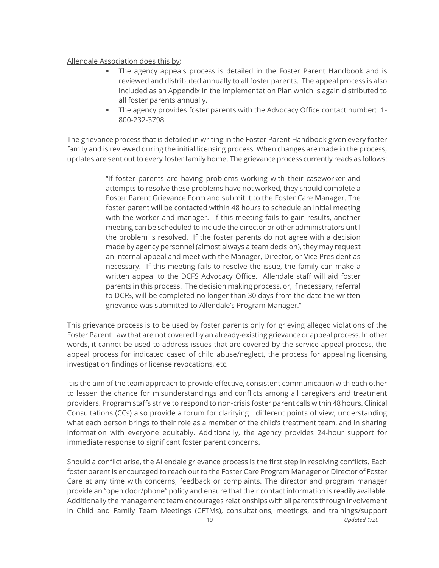#### Allendale Association does this by:

- The agency appeals process is detailed in the Foster Parent Handbook and is reviewed and distributed annually to all foster parents. The appeal process is also included as an Appendix in the Implementation Plan which is again distributed to all foster parents annually.
- The agency provides foster parents with the Advocacy Office contact number: 1- 800-232-3798.

The grievance process that is detailed in writing in the Foster Parent Handbook given every foster family and is reviewed during the initial licensing process*.* When changes are made in the process, updates are sent out to every foster family home. The grievance process currently reads as follows:

> "If foster parents are having problems working with their caseworker and attempts to resolve these problems have not worked, they should complete a Foster Parent Grievance Form and submit it to the Foster Care Manager. The foster parent will be contacted within 48 hours to schedule an initial meeting with the worker and manager. If this meeting fails to gain results, another meeting can be scheduled to include the director or other administrators until the problem is resolved. If the foster parents do not agree with a decision made by agency personnel (almost always a team decision), they may request an internal appeal and meet with the Manager, Director, or Vice President as necessary. If this meeting fails to resolve the issue, the family can make a written appeal to the DCFS Advocacy Office. Allendale staff will aid foster parents in this process. The decision making process, or, if necessary, referral to DCFS, will be completed no longer than 30 days from the date the written grievance was submitted to Allendale's Program Manager."

This grievance process is to be used by foster parents only for grieving alleged violations of the Foster Parent Law that are not covered by an already-existing grievance or appeal process. In other words, it cannot be used to address issues that are covered by the service appeal process, the appeal process for indicated cased of child abuse/neglect, the process for appealing licensing investigation findings or license revocations, etc.

It is the aim of the team approach to provide effective, consistent communication with each other to lessen the chance for misunderstandings and conflicts among all caregivers and treatment providers. Program staffs strive to respond to non-crisis foster parent calls within 48 hours. Clinical Consultations (CCs) also provide a forum for clarifying different points of view, understanding what each person brings to their role as a member of the child's treatment team, and in sharing information with everyone equitably. Additionally, the agency provides 24-hour support for immediate response to significant foster parent concerns.

Should a conflict arise, the Allendale grievance process is the first step in resolving conflicts. Each foster parent is encouraged to reach out to the Foster Care Program Manager or Director of Foster Care at any time with concerns, feedback or complaints. The director and program manager provide an "open door/phone" policy and ensure that their contact information is readily available. Additionally the management team encourages relationships with all parents through involvement in Child and Family Team Meetings (CFTMs), consultations, meetings, and trainings/support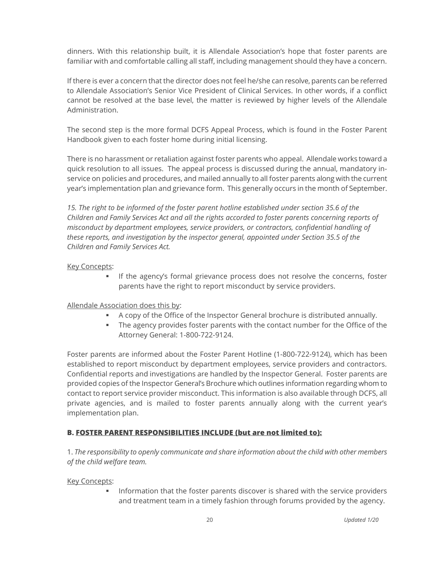dinners. With this relationship built, it is Allendale Association's hope that foster parents are familiar with and comfortable calling all staff, including management should they have a concern.

If there is ever a concern that the director does not feel he/she can resolve, parents can be referred to Allendale Association's Senior Vice President of Clinical Services. In other words, if a conflict cannot be resolved at the base level, the matter is reviewed by higher levels of the Allendale Administration.

The second step is the more formal DCFS Appeal Process, which is found in the Foster Parent Handbook given to each foster home during initial licensing.

There is no harassment or retaliation against foster parents who appeal. Allendale works toward a quick resolution to all issues. The appeal process is discussed during the annual, mandatory inservice on policies and procedures, and mailed annually to all foster parents along with the current year's implementation plan and grievance form. This generally occurs in the month of September.

*15. The right to be informed of the foster parent hotline established under section 35.6 of the Children and Family Services Act and all the rights accorded to foster parents concerning reports of misconduct by department employees, service providers, or contractors, confidential handling of these reports, and investigation by the inspector general, appointed under Section 35.5 of the Children and Family Services Act.*

### Key Concepts:

**.** If the agency's formal grievance process does not resolve the concerns, foster parents have the right to report misconduct by service providers.

# Allendale Association does this by:

- A copy of the Office of the Inspector General brochure is distributed annually.
- **The agency provides foster parents with the contact number for the Office of the** Attorney General: 1-800-722-9124.

Foster parents are informed about the Foster Parent Hotline (1-800-722-9124), which has been established to report misconduct by department employees, service providers and contractors. Confidential reports and investigations are handled by the Inspector General. Foster parents are provided copies of the Inspector General's Brochure which outlines information regarding whom to contact to report service provider misconduct. This information is also available through DCFS, all private agencies, and is mailed to foster parents annually along with the current year's implementation plan.

# **B. FOSTER PARENT RESPONSIBILITIES INCLUDE (but are not limited to):**

1. *The responsibility to openly communicate and share information about the child with other members of the child welfare team.*

#### **Key Concepts:**

Information that the foster parents discover is shared with the service providers and treatment team in a timely fashion through forums provided by the agency.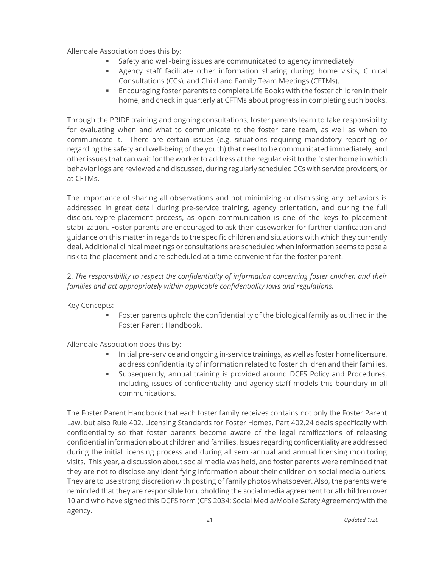### Allendale Association does this by:

- Safety and well-being issues are communicated to agency immediately
- **■** Agency staff facilitate other information sharing during: home visits, Clinical Consultations (CCs), and Child and Family Team Meetings (CFTMs).
- Encouraging foster parents to complete Life Books with the foster children in their home, and check in quarterly at CFTMs about progress in completing such books.

Through the PRIDE training and ongoing consultations, foster parents learn to take responsibility for evaluating when and what to communicate to the foster care team, as well as when to communicate it. There are certain issues (e.g. situations requiring mandatory reporting or regarding the safety and well-being of the youth) that need to be communicated immediately, and other issues that can wait for the worker to address at the regular visit to the foster home in which behavior logs are reviewed and discussed, during regularly scheduled CCs with service providers, or at CFTMs.

The importance of sharing all observations and not minimizing or dismissing any behaviors is addressed in great detail during pre-service training, agency orientation, and during the full disclosure/pre-placement process, as open communication is one of the keys to placement stabilization. Foster parents are encouraged to ask their caseworker for further clarification and guidance on this matter in regards to the specific children and situations with which they currently deal. Additional clinical meetings or consultations are scheduled when information seems to pose a risk to the placement and are scheduled at a time convenient for the foster parent.

2. *The responsibility to respect the confidentiality of information concerning foster children and their families and act appropriately within applicable confidentiality laws and regulations.*

#### Key Concepts:

**EXECT** Foster parents uphold the confidentiality of the biological family as outlined in the Foster Parent Handbook.

#### Allendale Association does this by:

- Initial pre-service and ongoing in-service trainings, as well as foster home licensure, address confidentiality of information related to foster children and their families.
- Subsequently, annual training is provided around DCFS Policy and Procedures, including issues of confidentiality and agency staff models this boundary in all communications.

The Foster Parent Handbook that each foster family receives contains not only the Foster Parent Law, but also Rule 402, Licensing Standards for Foster Homes. Part 402.24 deals specifically with confidentiality so that foster parents become aware of the legal ramifications of releasing confidential information about children and families. Issues regarding confidentiality are addressed during the initial licensing process and during all semi-annual and annual licensing monitoring visits. This year, a discussion about social media was held, and foster parents were reminded that they are not to disclose any identifying information about their children on social media outlets. They are to use strong discretion with posting of family photos whatsoever. Also, the parents were reminded that they are responsible for upholding the social media agreement for all children over 10 and who have signed this DCFS form (CFS 2034: Social Media/Mobile Safety Agreement) with the agency.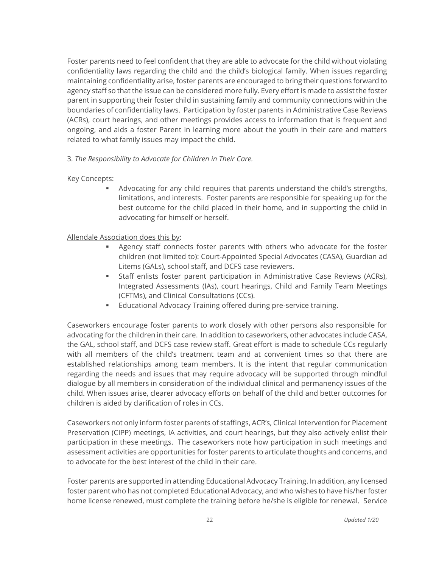Foster parents need to feel confident that they are able to advocate for the child without violating confidentiality laws regarding the child and the child's biological family. When issues regarding maintaining confidentiality arise, foster parents are encouraged to bring their questions forward to agency staff so that the issue can be considered more fully. Every effort is made to assist the foster parent in supporting their foster child in sustaining family and community connections within the boundaries of confidentiality laws. Participation by foster parents in Administrative Case Reviews (ACRs), court hearings, and other meetings provides access to information that is frequent and ongoing, and aids a foster Parent in learning more about the youth in their care and matters related to what family issues may impact the child.

3. *The Responsibility to Advocate for Children in Their Care.*

#### Key Concepts:

Advocating for any child requires that parents understand the child's strengths, limitations, and interests. Foster parents are responsible for speaking up for the best outcome for the child placed in their home, and in supporting the child in advocating for himself or herself.

# Allendale Association does this by:

- Agency staff connects foster parents with others who advocate for the foster children (not limited to): Court-Appointed Special Advocates (CASA), Guardian ad Litems (GALs), school staff, and DCFS case reviewers.
- Staff enlists foster parent participation in Administrative Case Reviews (ACRs), Integrated Assessments (IAs), court hearings, Child and Family Team Meetings (CFTMs), and Clinical Consultations (CCs).
- **Educational Advocacy Training offered during pre-service training.**

Caseworkers encourage foster parents to work closely with other persons also responsible for advocating for the children in their care. In addition to caseworkers, other advocates include CASA, the GAL, school staff, and DCFS case review staff. Great effort is made to schedule CCs regularly with all members of the child's treatment team and at convenient times so that there are established relationships among team members. It is the intent that regular communication regarding the needs and issues that may require advocacy will be supported through mindful dialogue by all members in consideration of the individual clinical and permanency issues of the child. When issues arise, clearer advocacy efforts on behalf of the child and better outcomes for children is aided by clarification of roles in CCs.

Caseworkers not only inform foster parents of staffings, ACR's, Clinical Intervention for Placement Preservation (CIPP) meetings, IA activities, and court hearings, but they also actively enlist their participation in these meetings. The caseworkers note how participation in such meetings and assessment activities are opportunities for foster parents to articulate thoughts and concerns, and to advocate for the best interest of the child in their care.

Foster parents are supported in attending Educational Advocacy Training. In addition, any licensed foster parent who has not completed Educational Advocacy, and who wishes to have his/her foster home license renewed, must complete the training before he/she is eligible for renewal. Service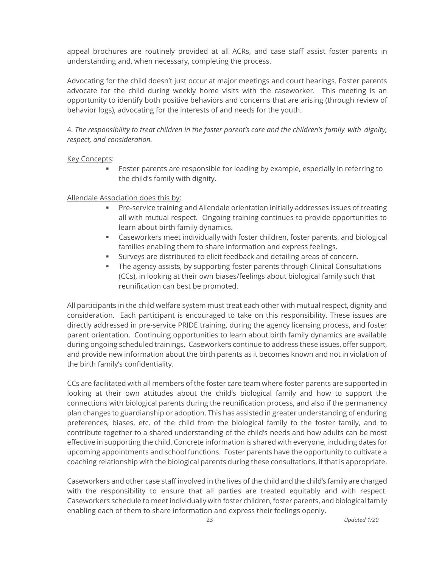appeal brochures are routinely provided at all ACRs, and case staff assist foster parents in understanding and, when necessary, completing the process.

Advocating for the child doesn't just occur at major meetings and court hearings. Foster parents advocate for the child during weekly home visits with the caseworker. This meeting is an opportunity to identify both positive behaviors and concerns that are arising (through review of behavior logs), advocating for the interests of and needs for the youth.

4. *The responsibility to treat children in the foster parent's care and the children's family with dignity, respect, and consideration.*

### Key Concepts:

▪ Foster parents are responsible for leading by example, especially in referring to the child's family with dignity.

### Allendale Association does this by:

- **•** Pre-service training and Allendale orientation initially addresses issues of treating all with mutual respect. Ongoing training continues to provide opportunities to learn about birth family dynamics.
- **EXECO ASSENCERS** FOR CASE TO CASE THE CASE CONSERVATOR CASE CONSERVATOR CASES CASES CASES CASES CONSERVATORS, And biological families enabling them to share information and express feelings.
- **EXEDED Surveys are distributed to elicit feedback and detailing areas of concern.**
- **The agency assists, by supporting foster parents through Clinical Consultations** (CCs), in looking at their own biases/feelings about biological family such that reunification can best be promoted.

All participants in the child welfare system must treat each other with mutual respect, dignity and consideration. Each participant is encouraged to take on this responsibility. These issues are directly addressed in pre-service PRIDE training, during the agency licensing process, and foster parent orientation. Continuing opportunities to learn about birth family dynamics are available during ongoing scheduled trainings. Caseworkers continue to address these issues, offer support, and provide new information about the birth parents as it becomes known and not in violation of the birth family's confidentiality.

CCs are facilitated with all members of the foster care team where foster parents are supported in looking at their own attitudes about the child's biological family and how to support the connections with biological parents during the reunification process, and also if the permanency plan changes to guardianship or adoption. This has assisted in greater understanding of enduring preferences, biases, etc. of the child from the biological family to the foster family, and to contribute together to a shared understanding of the child's needs and how adults can be most effective in supporting the child. Concrete information is shared with everyone, including dates for upcoming appointments and school functions. Foster parents have the opportunity to cultivate a coaching relationship with the biological parents during these consultations, if that is appropriate.

Caseworkers and other case staff involved in the lives of the child and the child's family are charged with the responsibility to ensure that all parties are treated equitably and with respect. Caseworkers schedule to meet individually with foster children, foster parents, and biological family enabling each of them to share information and express their feelings openly.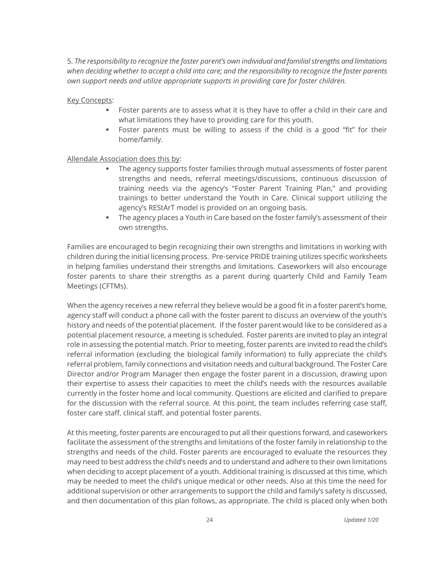5. *The responsibility to recognize the foster parent's own individual and familial strengths and limitations when deciding whether to accept a child into care; and the responsibility to recognize the foster parents own support needs and utilize appropriate supports in providing care for foster children.*

Key Concepts:

- **EXECT** Foster parents are to assess what it is they have to offer a child in their care and what limitations they have to providing care for this youth.
- Foster parents must be willing to assess if the child is a good "fit" for their home/family.

Allendale Association does this by:

- The agency supports foster families through mutual assessments of foster parent strengths and needs, referral meetings/discussions, continuous discussion of training needs via the agency's "Foster Parent Training Plan," and providing trainings to better understand the Youth in Care. Clinical support utilizing the agency's REStArT model is provided on an ongoing basis.
- **The agency places a Youth in Care based on the foster family's assessment of their** own strengths.

Families are encouraged to begin recognizing their own strengths and limitations in working with children during the initial licensing process. Pre-service PRIDE training utilizes specific worksheets in helping families understand their strengths and limitations. Caseworkers will also encourage foster parents to share their strengths as a parent during quarterly Child and Family Team Meetings (CFTMs).

When the agency receives a new referral they believe would be a good fit in a foster parent's home, agency staff will conduct a phone call with the foster parent to discuss an overview of the youth's history and needs of the potential placement. If the foster parent would like to be considered as a potential placement resource, a meeting is scheduled. Foster parents are invited to play an integral role in assessing the potential match. Prior to meeting, foster parents are invited to read the child's referral information (excluding the biological family information) to fully appreciate the child's referral problem, family connections and visitation needs and cultural background. The Foster Care Director and/or Program Manager then engage the foster parent in a discussion, drawing upon their expertise to assess their capacities to meet the child's needs with the resources available currently in the foster home and local community. Questions are elicited and clarified to prepare for the discussion with the referral source. At this point, the team includes referring case staff, foster care staff, clinical staff, and potential foster parents.

At this meeting, foster parents are encouraged to put all their questions forward, and caseworkers facilitate the assessment of the strengths and limitations of the foster family in relationship to the strengths and needs of the child. Foster parents are encouraged to evaluate the resources they may need to best address the child's needs and to understand and adhere to their own limitations when deciding to accept placement of a youth. Additional training is discussed at this time, which may be needed to meet the child's unique medical or other needs. Also at this time the need for additional supervision or other arrangements to support the child and family's safety is discussed, and then documentation of this plan follows, as appropriate. The child is placed only when both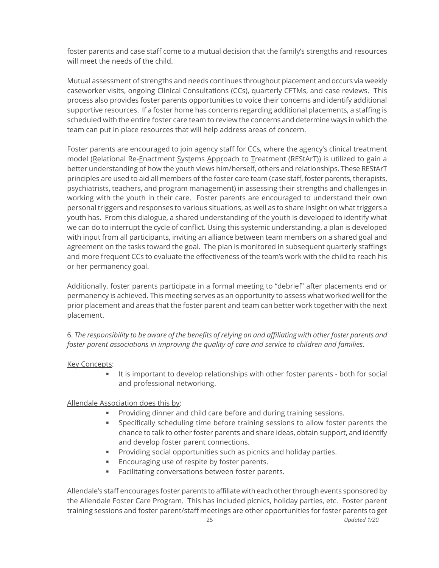foster parents and case staff come to a mutual decision that the family's strengths and resources will meet the needs of the child.

Mutual assessment of strengths and needs continues throughout placement and occurs via weekly caseworker visits, ongoing Clinical Consultations (CCs), quarterly CFTMs, and case reviews. This process also provides foster parents opportunities to voice their concerns and identify additional supportive resources. If a foster home has concerns regarding additional placements, a staffing is scheduled with the entire foster care team to review the concerns and determine ways in which the team can put in place resources that will help address areas of concern.

Foster parents are encouraged to join agency staff for CCs, where the agency's clinical treatment model (Relational Re-Enactment Systems Approach to Treatment (REStArT)) is utilized to gain a better understanding of how the youth views him/herself, others and relationships. These REStArT principles are used to aid all members of the foster care team (case staff, foster parents, therapists, psychiatrists, teachers, and program management) in assessing their strengths and challenges in working with the youth in their care. Foster parents are encouraged to understand their own personal triggers and responses to various situations, as well as to share insight on what triggers a youth has. From this dialogue, a shared understanding of the youth is developed to identify what we can do to interrupt the cycle of conflict. Using this systemic understanding, a plan is developed with input from all participants, inviting an alliance between team members on a shared goal and agreement on the tasks toward the goal. The plan is monitored in subsequent quarterly staffings and more frequent CCs to evaluate the effectiveness of the team's work with the child to reach his or her permanency goal.

Additionally, foster parents participate in a formal meeting to "debrief" after placements end or permanency is achieved. This meeting serves as an opportunity to assess what worked well for the prior placement and areas that the foster parent and team can better work together with the next placement.

6. *The responsibility to be aware of the benefits of relying on and affiliating with other foster parents and foster parent associations in improving the quality of care and service to children and families.* 

#### Key Concepts:

**■** It is important to develop relationships with other foster parents - both for social and professional networking.

# Allendale Association does this by:

- Providing dinner and child care before and during training sessions.
- Specifically scheduling time before training sessions to allow foster parents the chance to talk to other foster parents and share ideas, obtain support, and identify and develop foster parent connections.
- Providing social opportunities such as picnics and holiday parties.
- **Encouraging use of respite by foster parents.**
- Facilitating conversations between foster parents.

Allendale's staff encourages foster parents to affiliate with each other through events sponsored by the Allendale Foster Care Program. This has included picnics, holiday parties, etc. Foster parent training sessions and foster parent/staff meetings are other opportunities for foster parents to get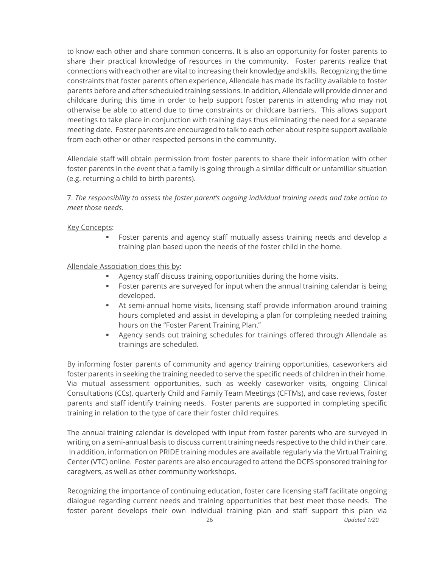to know each other and share common concerns. It is also an opportunity for foster parents to share their practical knowledge of resources in the community. Foster parents realize that connections with each other are vital to increasing their knowledge and skills. Recognizing the time constraints that foster parents often experience, Allendale has made its facility available to foster parents before and after scheduled training sessions. In addition, Allendale will provide dinner and childcare during this time in order to help support foster parents in attending who may not otherwise be able to attend due to time constraints or childcare barriers. This allows support meetings to take place in conjunction with training days thus eliminating the need for a separate meeting date. Foster parents are encouraged to talk to each other about respite support available from each other or other respected persons in the community.

Allendale staff will obtain permission from foster parents to share their information with other foster parents in the event that a family is going through a similar difficult or unfamiliar situation (e.g. returning a child to birth parents).

7. *The responsibility to assess the foster parent's ongoing individual training needs and take action to meet those needs.*

#### **Key Concepts:**

▪ Foster parents and agency staff mutually assess training needs and develop a training plan based upon the needs of the foster child in the home.

#### Allendale Association does this by:

- Agency staff discuss training opportunities during the home visits.
- **•** Foster parents are surveyed for input when the annual training calendar is being developed.
- At semi-annual home visits, licensing staff provide information around training hours completed and assist in developing a plan for completing needed training hours on the "Foster Parent Training Plan."
- **■** Agency sends out training schedules for trainings offered through Allendale as trainings are scheduled.

By informing foster parents of community and agency training opportunities, caseworkers aid foster parents in seeking the training needed to serve the specific needs of children in their home. Via mutual assessment opportunities, such as weekly caseworker visits, ongoing Clinical Consultations (CCs), quarterly Child and Family Team Meetings (CFTMs), and case reviews, foster parents and staff identify training needs. Foster parents are supported in completing specific training in relation to the type of care their foster child requires.

The annual training calendar is developed with input from foster parents who are surveyed in writing on a semi-annual basis to discuss current training needs respective to the child in their care. In addition, information on PRIDE training modules are available regularly via the Virtual Training Center (VTC) online. Foster parents are also encouraged to attend the DCFS sponsored training for caregivers, as well as other community workshops.

Recognizing the importance of continuing education, foster care licensing staff facilitate ongoing dialogue regarding current needs and training opportunities that best meet those needs. The foster parent develops their own individual training plan and staff support this plan via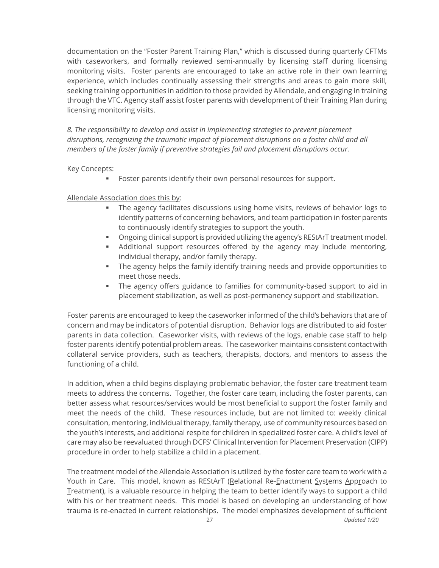documentation on the "Foster Parent Training Plan," which is discussed during quarterly CFTMs with caseworkers, and formally reviewed semi-annually by licensing staff during licensing monitoring visits. Foster parents are encouraged to take an active role in their own learning experience, which includes continually assessing their strengths and areas to gain more skill, seeking training opportunities in addition to those provided by Allendale, and engaging in training through the VTC. Agency staff assist foster parents with development of their Training Plan during licensing monitoring visits.

*8. The responsibility to develop and assist in implementing strategies to prevent placement disruptions, recognizing the traumatic impact of placement disruptions on a foster child and all members of the foster family if preventive strategies fail and placement disruptions occur.*

#### **Key Concepts:**

■ Foster parents identify their own personal resources for support.

#### Allendale Association does this by:

- **•** The agency facilitates discussions using home visits, reviews of behavior logs to identify patterns of concerning behaviors, and team participation in foster parents to continuously identify strategies to support the youth.
- Ongoing clinical support is provided utilizing the agency's REStArT treatment model.
- Additional support resources offered by the agency may include mentoring, individual therapy, and/or family therapy.
- **•** The agency helps the family identify training needs and provide opportunities to meet those needs.
- **•** The agency offers guidance to families for community-based support to aid in placement stabilization, as well as post-permanency support and stabilization.

Foster parents are encouraged to keep the caseworker informed of the child's behaviors that are of concern and may be indicators of potential disruption. Behavior logs are distributed to aid foster parents in data collection. Caseworker visits, with reviews of the logs, enable case staff to help foster parents identify potential problem areas. The caseworker maintains consistent contact with collateral service providers, such as teachers, therapists, doctors, and mentors to assess the functioning of a child.

In addition, when a child begins displaying problematic behavior, the foster care treatment team meets to address the concerns. Together, the foster care team, including the foster parents, can better assess what resources/services would be most beneficial to support the foster family and meet the needs of the child. These resources include, but are not limited to: weekly clinical consultation, mentoring, individual therapy, family therapy, use of community resources based on the youth's interests, and additional respite for children in specialized foster care. A child's level of care may also be reevaluated through DCFS' Clinical Intervention for Placement Preservation (CIPP) procedure in order to help stabilize a child in a placement.

The treatment model of the Allendale Association is utilized by the foster care team to work with a Youth in Care. This model, known as REStArT (Relational Re-Enactment Systems Approach to Treatment), is a valuable resource in helping the team to better identify ways to support a child with his or her treatment needs. This model is based on developing an understanding of how trauma is re-enacted in current relationships. The model emphasizes development of sufficient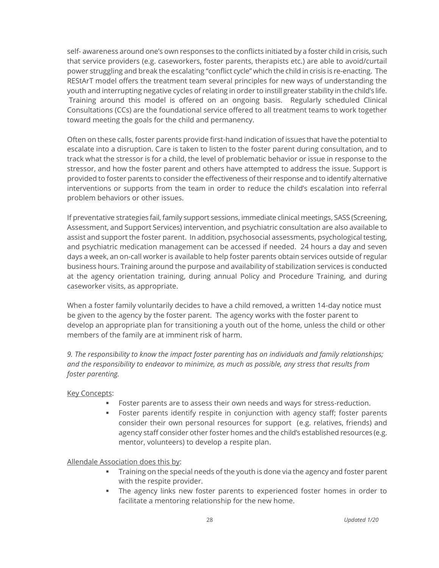self- awareness around one's own responses to the conflicts initiated by a foster child in crisis, such that service providers (e.g. caseworkers, foster parents, therapists etc.) are able to avoid/curtail power struggling and break the escalating "conflict cycle" which the child in crisis is re-enacting. The REStArT model offers the treatment team several principles for new ways of understanding the youth and interrupting negative cycles of relating in order to instill greater stability in the child's life. Training around this model is offered on an ongoing basis. Regularly scheduled Clinical Consultations (CCs) are the foundational service offered to all treatment teams to work together toward meeting the goals for the child and permanency.

Often on these calls, foster parents provide first-hand indication of issues that have the potential to escalate into a disruption. Care is taken to listen to the foster parent during consultation, and to track what the stressor is for a child, the level of problematic behavior or issue in response to the stressor, and how the foster parent and others have attempted to address the issue. Support is provided to foster parents to consider the effectiveness of their response and to identify alternative interventions or supports from the team in order to reduce the child's escalation into referral problem behaviors or other issues.

If preventative strategies fail, family support sessions, immediate clinical meetings, SASS (Screening, Assessment, and Support Services) intervention, and psychiatric consultation are also available to assist and support the foster parent. In addition, psychosocial assessments, psychological testing, and psychiatric medication management can be accessed if needed. 24 hours a day and seven days a week, an on-call worker is available to help foster parents obtain services outside of regular business hours. Training around the purpose and availability of stabilization services is conducted at the agency orientation training, during annual Policy and Procedure Training, and during caseworker visits, as appropriate.

When a foster family voluntarily decides to have a child removed, a written 14-day notice must be given to the agency by the foster parent. The agency works with the foster parent to develop an appropriate plan for transitioning a youth out of the home, unless the child or other members of the family are at imminent risk of harm.

*9. The responsibility to know the impact foster parenting has on individuals and family relationships; and the responsibility to endeavor to minimize, as much as possible, any stress that results from foster parenting.* 

#### Key Concepts:

- Foster parents are to assess their own needs and ways for stress-reduction.
- **•** Foster parents identify respite in conjunction with agency staff; foster parents consider their own personal resources for support (e.g. relatives, friends) and agency staff consider other foster homes and the child's established resources (e.g. mentor, volunteers) to develop a respite plan.

Allendale Association does this by:

- **•** Training on the special needs of the youth is done via the agency and foster parent with the respite provider.
- **•** The agency links new foster parents to experienced foster homes in order to facilitate a mentoring relationship for the new home.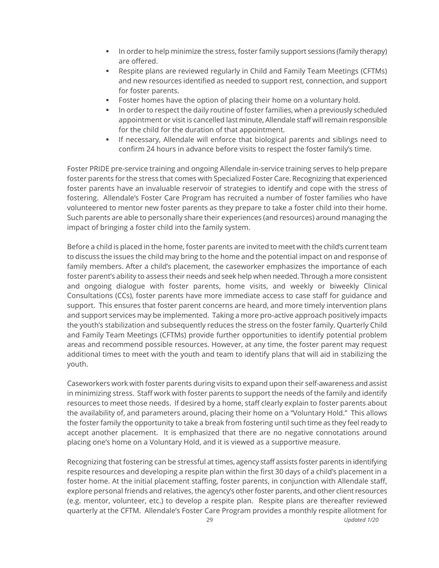- **•** In order to help minimize the stress, foster family support sessions (family therapy) are offered.
- Respite plans are reviewed regularly in Child and Family Team Meetings (CFTMs) and new resources identified as needed to support rest, connection, and support for foster parents.
- Foster homes have the option of placing their home on a voluntary hold.
- **·** In order to respect the daily routine of foster families, when a previously scheduled appointment or visit is cancelled last minute, Allendale staff will remain responsible for the child for the duration of that appointment.
- **.** If necessary, Allendale will enforce that biological parents and siblings need to confirm 24 hours in advance before visits to respect the foster family's time.

Foster PRIDE pre-service training and ongoing Allendale in-service training serves to help prepare foster parents for the stress that comes with Specialized Foster Care. Recognizing that experienced foster parents have an invaluable reservoir of strategies to identify and cope with the stress of fostering. Allendale's Foster Care Program has recruited a number of foster families who have volunteered to mentor new foster parents as they prepare to take a foster child into their home. Such parents are able to personally share their experiences (and resources) around managing the impact of bringing a foster child into the family system.

Before a child is placed in the home, foster parents are invited to meet with the child's current team to discuss the issues the child may bring to the home and the potential impact on and response of family members. After a child's placement, the caseworker emphasizes the importance of each foster parent's ability to assess their needs and seek help when needed. Through a more consistent and ongoing dialogue with foster parents, home visits, and weekly or biweekly Clinical Consultations (CCs), foster parents have more immediate access to case staff for guidance and support. This ensures that foster parent concerns are heard, and more timely intervention plans and support services may be implemented. Taking a more pro-active approach positively impacts the youth's stabilization and subsequently reduces the stress on the foster family. Quarterly Child and Family Team Meetings (CFTMs) provide further opportunities to identify potential problem areas and recommend possible resources. However, at any time, the foster parent may request additional times to meet with the youth and team to identify plans that will aid in stabilizing the youth.

Caseworkers work with foster parents during visits to expand upon their self-awareness and assist in minimizing stress. Staff work with foster parents to support the needs of the family and identify resources to meet those needs. If desired by a home, staff clearly explain to foster parents about the availability of, and parameters around, placing their home on a "Voluntary Hold." This allows the foster family the opportunity to take a break from fostering until such time as they feel ready to accept another placement. It is emphasized that there are no negative connotations around placing one's home on a Voluntary Hold, and it is viewed as a supportive measure.

Recognizing that fostering can be stressful at times, agency staff assists foster parents in identifying respite resources and developing a respite plan within the first 30 days of a child's placement in a foster home. At the initial placement staffing, foster parents, in conjunction with Allendale staff, explore personal friends and relatives, the agency's other foster parents, and other client resources (e.g. mentor, volunteer, etc.) to develop a respite plan. Respite plans are thereafter reviewed quarterly at the CFTM. Allendale's Foster Care Program provides a monthly respite allotment for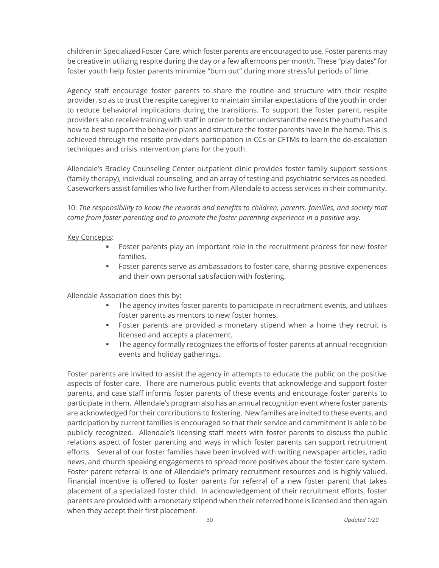children in Specialized Foster Care, which foster parents are encouraged to use. Foster parents may be creative in utilizing respite during the day or a few afternoons per month. These "play dates" for foster youth help foster parents minimize "burn out" during more stressful periods of time.

Agency staff encourage foster parents to share the routine and structure with their respite provider, so as to trust the respite caregiver to maintain similar expectations of the youth in order to reduce behavioral implications during the transitions. To support the foster parent, respite providers also receive training with staff in order to better understand the needs the youth has and how to best support the behavior plans and structure the foster parents have in the home. This is achieved through the respite provider's participation in CCs or CFTMs to learn the de-escalation techniques and crisis intervention plans for the youth.

Allendale's Bradley Counseling Center outpatient clinic provides foster family support sessions (family therapy), individual counseling, and an array of testing and psychiatric services as needed. Caseworkers assist families who live further from Allendale to access services in their community.

10. *The responsibility to know the rewards and benefits to children, parents, families, and society that come from foster parenting and to promote the foster parenting experience in a positive way.* 

#### Key Concepts:

- **•** Foster parents play an important role in the recruitment process for new foster families.
- Foster parents serve as ambassadors to foster care, sharing positive experiences and their own personal satisfaction with fostering.

#### Allendale Association does this by:

- **•** The agency invites foster parents to participate in recruitment events, and utilizes foster parents as mentors to new foster homes.
- **•** Foster parents are provided a monetary stipend when a home they recruit is licensed and accepts a placement.
- **•** The agency formally recognizes the efforts of foster parents at annual recognition events and holiday gatherings.

Foster parents are invited to assist the agency in attempts to educate the public on the positive aspects of foster care. There are numerous public events that acknowledge and support foster parents, and case staff informs foster parents of these events and encourage foster parents to participate in them. Allendale's program also has an annual recognition event where foster parents are acknowledged for their contributions to fostering. New families are invited to these events, and participation by current families is encouraged so that their service and commitment is able to be publicly recognized. Allendale's licensing staff meets with foster parents to discuss the public relations aspect of foster parenting and ways in which foster parents can support recruitment efforts. Several of our foster families have been involved with writing newspaper articles, radio news, and church speaking engagements to spread more positives about the foster care system. Foster parent referral is one of Allendale's primary recruitment resources and is highly valued. Financial incentive is offered to foster parents for referral of a new foster parent that takes placement of a specialized foster child. In acknowledgement of their recruitment efforts, foster parents are provided with a monetary stipend when their referred home is licensed and then again when they accept their first placement.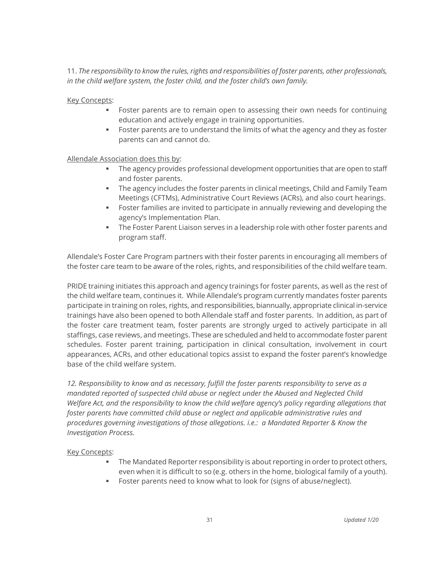11. *The responsibility to know the rules, rights and responsibilities of foster parents, other professionals, in the child welfare system, the foster child, and the foster child's own family.*

Key Concepts:

- **•** Foster parents are to remain open to assessing their own needs for continuing education and actively engage in training opportunities.
- Foster parents are to understand the limits of what the agency and they as foster parents can and cannot do.

### Allendale Association does this by:

- **The agency provides professional development opportunities that are open to staff** and foster parents.
- **•** The agency includes the foster parents in clinical meetings, Child and Family Team Meetings (CFTMs), Administrative Court Reviews (ACRs), and also court hearings.
- **•** Foster families are invited to participate in annually reviewing and developing the agency's Implementation Plan.
- **•** The Foster Parent Liaison serves in a leadership role with other foster parents and program staff.

Allendale's Foster Care Program partners with their foster parents in encouraging all members of the foster care team to be aware of the roles, rights, and responsibilities of the child welfare team.

PRIDE training initiates this approach and agency trainings for foster parents, as well as the rest of the child welfare team, continues it. While Allendale's program currently mandates foster parents participate in training on roles, rights, and responsibilities, biannually, appropriate clinical in-service trainings have also been opened to both Allendale staff and foster parents. In addition, as part of the foster care treatment team, foster parents are strongly urged to actively participate in all staffings, case reviews, and meetings. These are scheduled and held to accommodate foster parent schedules. Foster parent training, participation in clinical consultation, involvement in court appearances, ACRs, and other educational topics assist to expand the foster parent's knowledge base of the child welfare system.

*12. Responsibility to know and as necessary, fulfill the foster parents responsibility to serve as a mandated reported of suspected child abuse or neglect under the Abused and Neglected Child Welfare Act, and the responsibility to know the child welfare agency's policy regarding allegations that foster parents have committed child abuse or neglect and applicable administrative rules and procedures governing investigations of those allegations. i.e.: a Mandated Reporter & Know the Investigation Process.*

#### Key Concepts:

- The Mandated Reporter responsibility is about reporting in order to protect others, even when it is difficult to so (e.g. others in the home, biological family of a youth).
- Foster parents need to know what to look for (signs of abuse/neglect).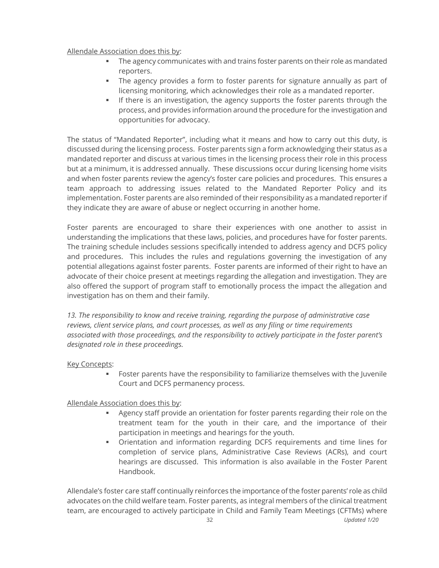#### Allendale Association does this by:

- **The agency communicates with and trains foster parents on their role as mandated** reporters.
- The agency provides a form to foster parents for signature annually as part of licensing monitoring, which acknowledges their role as a mandated reporter.
- **.** If there is an investigation, the agency supports the foster parents through the process, and provides information around the procedure for the investigation and opportunities for advocacy.

The status of "Mandated Reporter", including what it means and how to carry out this duty, is discussed during the licensing process. Foster parents sign a form acknowledging their status as a mandated reporter and discuss at various times in the licensing process their role in this process but at a minimum, it is addressed annually. These discussions occur during licensing home visits and when foster parents review the agency's foster care policies and procedures. This ensures a team approach to addressing issues related to the Mandated Reporter Policy and its implementation. Foster parents are also reminded of their responsibility as a mandated reporter if they indicate they are aware of abuse or neglect occurring in another home.

Foster parents are encouraged to share their experiences with one another to assist in understanding the implications that these laws, policies, and procedures have for foster parents. The training schedule includes sessions specifically intended to address agency and DCFS policy and procedures. This includes the rules and regulations governing the investigation of any potential allegations against foster parents. Foster parents are informed of their right to have an advocate of their choice present at meetings regarding the allegation and investigation. They are also offered the support of program staff to emotionally process the impact the allegation and investigation has on them and their family.

*13. The responsibility to know and receive training, regarding the purpose of administrative case reviews, client service plans, and court processes, as well as any filing or time requirements associated with those proceedings, and the responsibility to actively participate in the foster parent's designated role in these proceedings.*

# Key Concepts:

**•** Foster parents have the responsibility to familiarize themselves with the Juvenile Court and DCFS permanency process.

Allendale Association does this by:

- **EXEC** Agency staff provide an orientation for foster parents regarding their role on the treatment team for the youth in their care, and the importance of their participation in meetings and hearings for the youth.
- Orientation and information regarding DCFS requirements and time lines for completion of service plans, Administrative Case Reviews (ACRs), and court hearings are discussed. This information is also available in the Foster Parent Handbook.

Allendale's foster care staff continually reinforces the importance of the foster parents' role as child advocates on the child welfare team. Foster parents, as integral members of the clinical treatment team, are encouraged to actively participate in Child and Family Team Meetings (CFTMs) where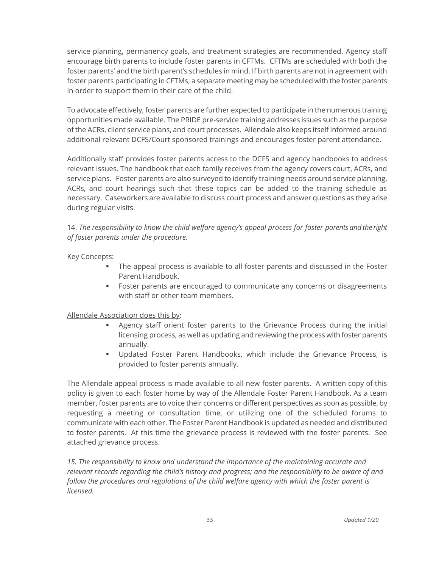service planning, permanency goals, and treatment strategies are recommended. Agency staff encourage birth parents to include foster parents in CFTMs. CFTMs are scheduled with both the foster parents' and the birth parent's schedules in mind. If birth parents are not in agreement with foster parents participating in CFTMs, a separate meeting may be scheduled with the foster parents in order to support them in their care of the child.

To advocate effectively, foster parents are further expected to participate in the numerous training opportunities made available. The PRIDE pre-service training addresses issues such as the purpose of the ACRs, client service plans, and court processes. Allendale also keeps itself informed around additional relevant DCFS/Court sponsored trainings and encourages foster parent attendance.

Additionally staff provides foster parents access to the DCFS and agency handbooks to address relevant issues. The handbook that each family receives from the agency covers court, ACRs, and service plans. Foster parents are also surveyed to identify training needs around service planning, ACRs, and court hearings such that these topics can be added to the training schedule as necessary. Caseworkers are available to discuss court process and answer questions as they arise during regular visits.

14. *The responsibility to know the child welfare agency's appeal process for foster parents and the right of foster parents under the procedure.*

### **Key Concepts:**

- The appeal process is available to all foster parents and discussed in the Foster Parent Handbook.
- **•** Foster parents are encouraged to communicate any concerns or disagreements with staff or other team members.

# Allendale Association does this by:

- **•** Agency staff orient foster parents to the Grievance Process during the initial licensing process, as well as updating and reviewing the process with foster parents annually.
- Updated Foster Parent Handbooks, which include the Grievance Process, is provided to foster parents annually.

The Allendale appeal process is made available to all new foster parents. A written copy of this policy is given to each foster home by way of the Allendale Foster Parent Handbook. As a team member, foster parents are to voice their concerns or different perspectives as soon as possible, by requesting a meeting or consultation time, or utilizing one of the scheduled forums to communicate with each other. The Foster Parent Handbook is updated as needed and distributed to foster parents. At this time the grievance process is reviewed with the foster parents. See attached grievance process.

*15. The responsibility to know and understand the importance of the maintaining accurate and relevant records regarding the child's history and progress; and the responsibility to be aware of and follow the procedures and regulations of the child welfare agency with which the foster parent is licensed.*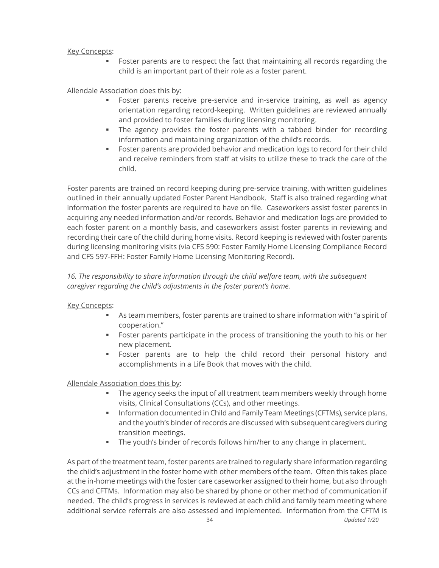### Key Concepts:

Foster parents are to respect the fact that maintaining all records regarding the child is an important part of their role as a foster parent.

Allendale Association does this by:

- Foster parents receive pre-service and in-service training, as well as agency orientation regarding record-keeping. Written guidelines are reviewed annually and provided to foster families during licensing monitoring.
- **•** The agency provides the foster parents with a tabbed binder for recording information and maintaining organization of the child's records.
- Foster parents are provided behavior and medication logs to record for their child and receive reminders from staff at visits to utilize these to track the care of the child.

Foster parents are trained on record keeping during pre-service training, with written guidelines outlined in their annually updated Foster Parent Handbook. Staff is also trained regarding what information the foster parents are required to have on file. Caseworkers assist foster parents in acquiring any needed information and/or records. Behavior and medication logs are provided to each foster parent on a monthly basis, and caseworkers assist foster parents in reviewing and recording their care of the child during home visits. Record keeping is reviewed with foster parents during licensing monitoring visits (via CFS 590: Foster Family Home Licensing Compliance Record and CFS 597-FFH: Foster Family Home Licensing Monitoring Record).

*16. The responsibility to share information through the child welfare team, with the subsequent caregiver regarding the child's adjustments in the foster parent's home.*

# Key Concepts:

- As team members, foster parents are trained to share information with "a spirit of cooperation."
- **•** Foster parents participate in the process of transitioning the youth to his or her new placement.
- Foster parents are to help the child record their personal history and accomplishments in a Life Book that moves with the child.

Allendale Association does this by:

- **The agency seeks the input of all treatment team members weekly through home** visits, Clinical Consultations (CCs), and other meetings.
- **Information documented in Child and Family Team Meetings (CFTMs), service plans,** and the youth's binder of records are discussed with subsequent caregivers during transition meetings.
- The youth's binder of records follows him/her to any change in placement.

As part of the treatment team, foster parents are trained to regularly share information regarding the child's adjustment in the foster home with other members of the team. Often this takes place at the in-home meetings with the foster care caseworker assigned to their home, but also through CCs and CFTMs. Information may also be shared by phone or other method of communication if needed. The child's progress in services is reviewed at each child and family team meeting where additional service referrals are also assessed and implemented. Information from the CFTM is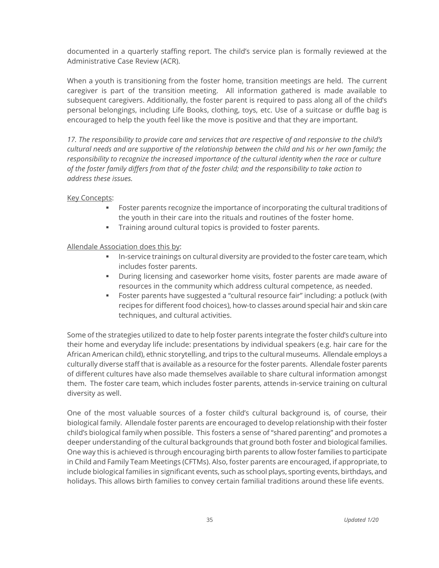documented in a quarterly staffing report. The child's service plan is formally reviewed at the Administrative Case Review (ACR).

When a youth is transitioning from the foster home, transition meetings are held. The current caregiver is part of the transition meeting. All information gathered is made available to subsequent caregivers. Additionally, the foster parent is required to pass along all of the child's personal belongings, including Life Books, clothing, toys, etc. Use of a suitcase or duffle bag is encouraged to help the youth feel like the move is positive and that they are important.

*17. The responsibility to provide care and services that are respective of and responsive to the child's cultural needs and are supportive of the relationship between the child and his or her own family; the responsibility to recognize the increased importance of the cultural identity when the race or culture of the foster family differs from that of the foster child; and the responsibility to take action to address these issues.* 

### Key Concepts:

- Foster parents recognize the importance of incorporating the cultural traditions of the youth in their care into the rituals and routines of the foster home.
- **•** Training around cultural topics is provided to foster parents.

# Allendale Association does this by:

- **In-service trainings on cultural diversity are provided to the foster care team, which** includes foster parents.
- During licensing and caseworker home visits, foster parents are made aware of resources in the community which address cultural competence, as needed.
- Foster parents have suggested a "cultural resource fair" including: a potluck (with recipes for different food choices), how-to classes around special hair and skin care techniques, and cultural activities.

Some of the strategies utilized to date to help foster parents integrate the foster child's culture into their home and everyday life include: presentations by individual speakers (e.g. hair care for the African American child), ethnic storytelling, and trips to the cultural museums. Allendale employs a culturally diverse staff that is available as a resource for the foster parents. Allendale foster parents of different cultures have also made themselves available to share cultural information amongst them. The foster care team, which includes foster parents, attends in-service training on cultural diversity as well.

One of the most valuable sources of a foster child's cultural background is, of course, their biological family. Allendale foster parents are encouraged to develop relationship with their foster child's biological family when possible. This fosters a sense of "shared parenting" and promotes a deeper understanding of the cultural backgrounds that ground both foster and biological families. One way this is achieved is through encouraging birth parents to allow foster families to participate in Child and Family Team Meetings (CFTMs). Also, foster parents are encouraged, if appropriate, to include biological families in significant events, such as school plays, sporting events, birthdays, and holidays. This allows birth families to convey certain familial traditions around these life events.